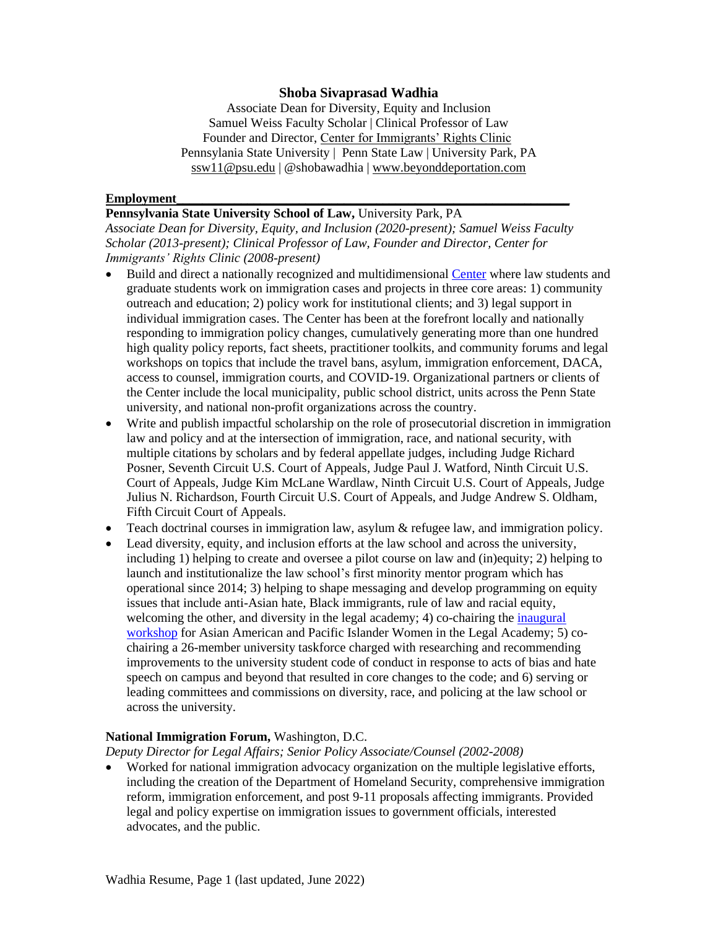#### **Shoba Sivaprasad Wadhia**

Associate Dean for Diversity, Equity and Inclusion Samuel Weiss Faculty Scholar | Clinical Professor of Law Founder and Director, [Center for Immigrants' Rights Clinic](https://pennstatelaw.psu.edu/practice-skills/clinics/center-immigrants-rights) Pennsylania State University | Penn State Law | University Park, PA [ssw11@psu.edu](mailto:ssw11@psu.edu) | @shobawadhia | [www.beyonddeportation.com](http://www.beyonddeportation.com/)

#### **Employment\_\_\_\_\_\_\_\_\_\_\_\_\_\_\_\_\_\_\_\_\_\_\_\_\_\_\_\_\_\_\_\_\_\_\_\_\_\_\_\_\_\_\_\_\_\_\_\_\_\_\_\_\_\_\_\_\_\_\_\_\_**

**Pennsylvania State University School of Law,** University Park, PA *Associate Dean for Diversity, Equity, and Inclusion (2020-present); Samuel Weiss Faculty Scholar (2013-present); Clinical Professor of Law, Founder and Director, Center for Immigrants' Rights Clinic (2008-present)*

- Build and direct a nationally recognized and multidimensional [Center](https://pennstatelaw.psu.edu/practice-skills/clinics/center-immigrants-rights) where law students and graduate students work on immigration cases and projects in three core areas: 1) community outreach and education; 2) policy work for institutional clients; and 3) legal support in individual immigration cases. The Center has been at the forefront locally and nationally responding to immigration policy changes, cumulatively generating more than one hundred high quality policy reports, fact sheets, practitioner toolkits, and community forums and legal workshops on topics that include the travel bans, asylum, immigration enforcement, DACA, access to counsel, immigration courts, and COVID-19. Organizational partners or clients of the Center include the local municipality, public school district, units across the Penn State university, and national non-profit organizations across the country.
- Write and publish impactful scholarship on the role of prosecutorial discretion in immigration law and policy and at the intersection of immigration, race, and national security, with multiple citations by scholars and by federal appellate judges, including Judge [Richard](https://nam10.safelinks.protection.outlook.com/?url=https%3A%2F%2Fcaselaw.findlaw.com%2Fus-7th-circuit%2F1765272.html&data=04%7C01%7Cbaj5321%40psu.edu%7C0714ed1f99f84b1f21ef08d8c20cae00%7C7cf48d453ddb4389a9c1c115526eb52e%7C0%7C0%7C637472706992884387%7CUnknown%7CTWFpbGZsb3d8eyJWIjoiMC4wLjAwMDAiLCJQIjoiV2luMzIiLCJBTiI6Ik1haWwiLCJXVCI6Mn0%3D%7C1000&sdata=9DqubgXP%2F7h8VX2pwMSfpxzoyx8%2BU0eFKraQP1XUji4%3D&reserved=0) [Posner,](https://nam10.safelinks.protection.outlook.com/?url=https%3A%2F%2Fcaselaw.findlaw.com%2Fus-7th-circuit%2F1765272.html&data=04%7C01%7Cbaj5321%40psu.edu%7C0714ed1f99f84b1f21ef08d8c20cae00%7C7cf48d453ddb4389a9c1c115526eb52e%7C0%7C0%7C637472706992884387%7CUnknown%7CTWFpbGZsb3d8eyJWIjoiMC4wLjAwMDAiLCJQIjoiV2luMzIiLCJBTiI6Ik1haWwiLCJXVCI6Mn0%3D%7C1000&sdata=9DqubgXP%2F7h8VX2pwMSfpxzoyx8%2BU0eFKraQP1XUji4%3D&reserved=0) Seventh Circuit U.S. Court of Appeals, Judge Paul J. [Watford,](https://nam10.safelinks.protection.outlook.com/?url=http%3A%2F%2Fcdn.ca9.uscourts.gov%2Fdatastore%2Fopinions%2F2018%2F01%2F10%2F14-71747.pdf&data=04%7C01%7Cbaj5321%40psu.edu%7C0714ed1f99f84b1f21ef08d8c20cae00%7C7cf48d453ddb4389a9c1c115526eb52e%7C0%7C0%7C637472706992889366%7CUnknown%7CTWFpbGZsb3d8eyJWIjoiMC4wLjAwMDAiLCJQIjoiV2luMzIiLCJBTiI6Ik1haWwiLCJXVCI6Mn0%3D%7C1000&sdata=jXM6SMynNSOY%2B%2BTjUDC1Moug%2F6Qq%2FCheAvp%2FeZKYCRk%3D&reserved=0) Ninth Circuit U.S. Court of Appeals, Judge Kim McLane [Wardlaw,](https://nam10.safelinks.protection.outlook.com/?url=http%3A%2F%2Fcdn.ca9.uscourts.gov%2Fdatastore%2Fopinions%2F2018%2F11%2F08%2F18-15068.pdf&data=04%7C01%7Cbaj5321%40psu.edu%7C0714ed1f99f84b1f21ef08d8c20cae00%7C7cf48d453ddb4389a9c1c115526eb52e%7C0%7C0%7C637472706992894342%7CUnknown%7CTWFpbGZsb3d8eyJWIjoiMC4wLjAwMDAiLCJQIjoiV2luMzIiLCJBTiI6Ik1haWwiLCJXVCI6Mn0%3D%7C1000&sdata=GqE%2Fir%2FI22j67BlYuj8lBw%2BNlKc1U1jTq2XNkcumAi8%3D&reserved=0) Ninth Circuit U.S. Court of Appeals, Judge Julius N. Richardson, Fourth Circuit U.S. Court of Appeals, and Judge Andrew S. Oldham, Fifth Circuit Court of Appeals.
- Teach doctrinal courses in immigration law, asylum & refugee law, and immigration policy.
- Lead diversity, equity, and inclusion efforts at the law school and across the university, including 1) helping to create and oversee a pilot course on law and (in)equity; 2) helping to launch and institutionalize the law school's first minority mentor program which has operational since 2014; 3) helping to shape messaging and develop programming on equity issues that include anti-Asian hate, Black immigrants, rule of law and racial equity, welcoming the other, and diversity in the legal academy; 4) co-chairing the *inaugural* [workshop](https://pennstatelaw.psu.edu/events/asian-american-women-workshop) for Asian American and Pacific Islander Women in the Legal Academy; 5) cochairing a 26-member university taskforce charged with researching and recommending improvements to the university student code of conduct in response to acts of bias and hate speech on campus and beyond that resulted in core changes to the code; and 6) serving or leading committees and commissions on diversity, race, and policing at the law school or across the university.

#### **National Immigration Forum,** Washington, D.C.

*Deputy Director for Legal Affairs; Senior Policy Associate/Counsel (2002-2008)* 

• Worked for national immigration advocacy organization on the multiple legislative efforts, including the creation of the Department of Homeland Security, comprehensive immigration reform, immigration enforcement, and post 9-11 proposals affecting immigrants. Provided legal and policy expertise on immigration issues to government officials, interested advocates, and the public.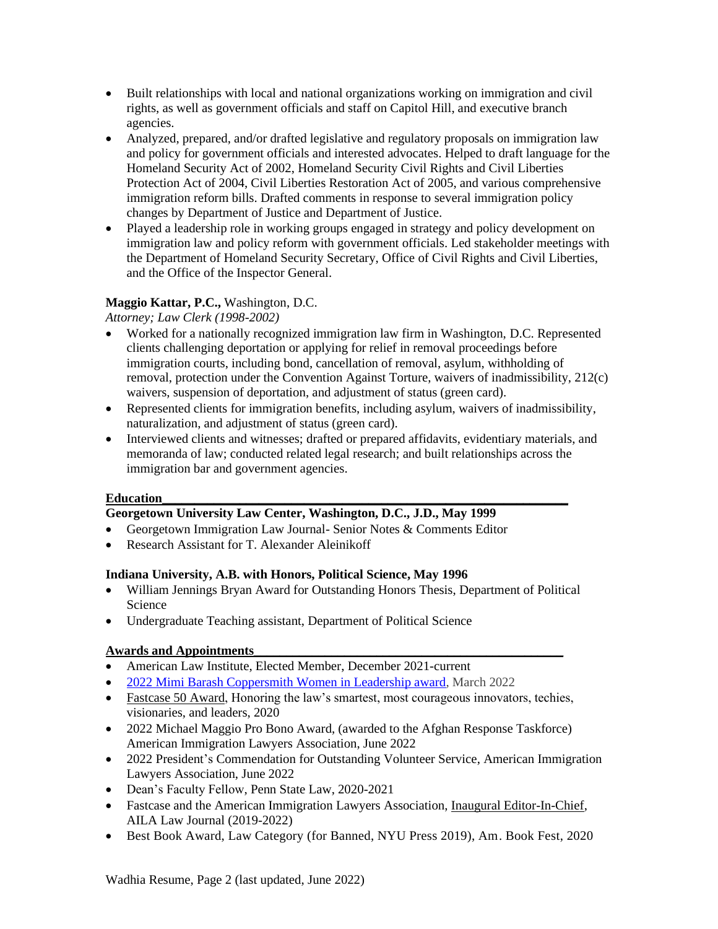- Built relationships with local and national organizations working on immigration and civil rights, as well as government officials and staff on Capitol Hill, and executive branch agencies.
- Analyzed, prepared, and/or drafted legislative and regulatory proposals on immigration law and policy for government officials and interested advocates. Helped to draft language for the Homeland Security Act of 2002, Homeland Security Civil Rights and Civil Liberties Protection Act of 2004, Civil Liberties Restoration Act of 2005, and various comprehensive immigration reform bills. Drafted comments in response to several immigration policy changes by Department of Justice and Department of Justice.
- Played a leadership role in working groups engaged in strategy and policy development on immigration law and policy reform with government officials. Led stakeholder meetings with the Department of Homeland Security Secretary, Office of Civil Rights and Civil Liberties, and the Office of the Inspector General.

### **Maggio Kattar, P.C.,** Washington, D.C.

*Attorney; Law Clerk (1998-2002)* 

- Worked for a nationally recognized immigration law firm in Washington, D.C. Represented clients challenging deportation or applying for relief in removal proceedings before immigration courts, including bond, cancellation of removal, asylum, withholding of removal, protection under the Convention Against Torture, waivers of inadmissibility, 212(c) waivers, suspension of deportation, and adjustment of status (green card).
- Represented clients for immigration benefits, including asylum, waivers of inadmissibility, naturalization, and adjustment of status (green card).
- Interviewed clients and witnesses; drafted or prepared affidavits, evidentiary materials, and memoranda of law; conducted related legal research; and built relationships across the immigration bar and government agencies.

### **Education**

# **Georgetown University Law Center, Washington, D.C., J.D., May 1999**

- Georgetown Immigration Law Journal- Senior Notes & Comments Editor
- Research Assistant for T. Alexander Aleinikoff

### **Indiana University, A.B. with Honors, Political Science, May 1996**

- William Jennings Bryan Award for Outstanding Honors Thesis, Department of Political Science
- Undergraduate Teaching assistant, Department of Political Science

## **Awards and Appointments\_\_\_\_\_\_\_\_\_\_\_\_\_\_\_\_\_\_\_\_\_\_\_\_\_\_\_\_\_\_\_\_\_\_\_\_\_\_\_\_\_\_\_\_\_\_\_\_**

- American Law Institute, Elected Member, December 2021-current
- 2022 [Mimi Barash Coppersmith Women in Leadership award,](https://centre-foundation.org/stories/shoba-sivaprasad-wadhia-receives-mimi-barash-coppersmith-women-in-leadership-award/) March 2022
- [Fastcase 50 Award,](https://www.fastcase.com/fastcase50/) Honoring the law's smartest, most courageous innovators, techies, visionaries, and leaders, 2020
- 2022 Michael Maggio Pro Bono Award, (awarded to the Afghan Response Taskforce) American Immigration Lawyers Association, June 2022
- 2022 President's Commendation for Outstanding Volunteer Service, American Immigration Lawyers Association, June 2022
- Dean's Faculty Fellow, Penn State Law, 2020-2021
- Fastcase and the American Immigration Lawyers Association, [Inaugural Editor-In-Chief,](https://www.aila.org/publications/aila-law-journal) AILA Law Journal (2019-2022)
- Best Book Award, Law Category (for Banned, NYU Press 2019), Am. Book Fest, 2020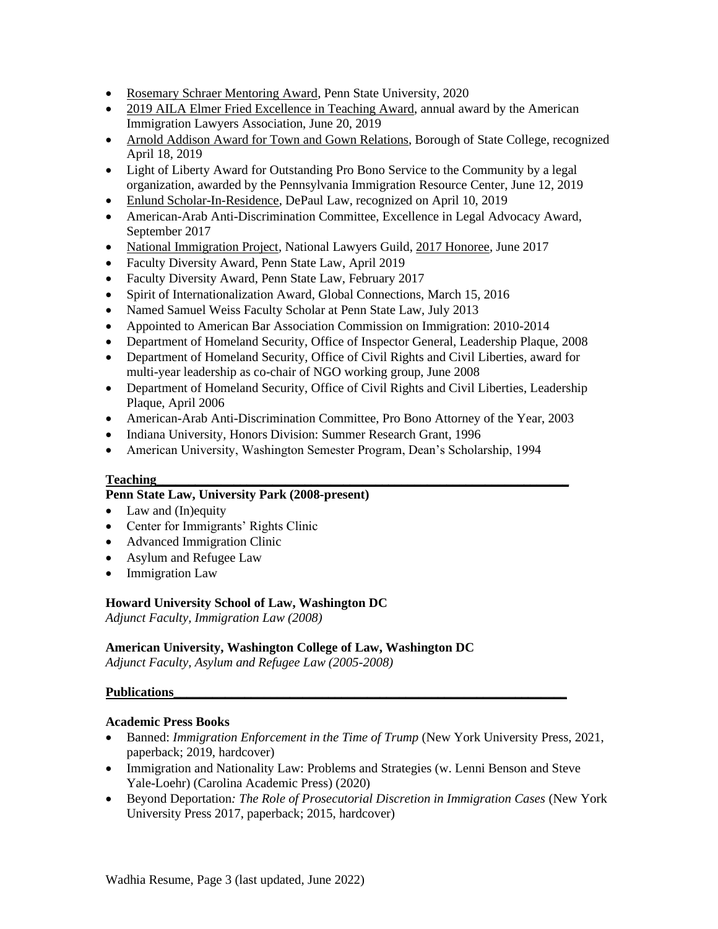- [Rosemary Schraer Mentoring Award,](https://news.psu.edu/story/612678/2020/03/27/academics/shoba-sivaprasad-wadhia-earns-2020-rosemary-schraer-mentoring) Penn State University, 2020
- [2019 AILA Elmer Fried Excellence in Teaching Award,](https://www.aila.org/advo-media/press-releases/2019/aila-presents-shoba-sivaprasad-wadhia-with-2019) annual award by the American Immigration Lawyers Association, June 20, 2019
- Arnold Addison Award for Town and Gown [Relations,](http://www.statecollegepa.us/CivicSend/ViewMessage/Message/82929) Borough of State College, recognized April 18, 2019
- Light of Liberty Award for Outstanding Pro Bono Service to the Community by a legal organization, awarded by the Pennsylvania Immigration Resource Center, June 12, 2019
- [Enlund Scholar-In-Residence,](http://events.depaul.edu/event/cle_-_2019_enlund_scholar-in-_residence_lecture_with_distinguished_lecturer_shoba_sivaprasad_wadhia#.XMeb2fZFw2w) DePaul Law, recognized on April 10, 2019
- American-Arab Anti-Discrimination Committee, Excellence in Legal Advocacy Award, September 2017
- [National Immigration Project,](http://nationalimmigrationproject.org/alerts.html) National Lawyers Guild, [2017 Honoree,](http://nationalimmigrationproject.org/PDFs/development/2017_23Jun_AILA_Program_Book.pdf) June 2017
- Faculty Diversity Award, Penn State Law, April 2019
- Faculty Diversity Award, Penn State Law, February 2017
- Spirit of Internationalization Award, Global Connections, March 15, 2016
- Named Samuel Weiss Faculty Scholar at Penn State Law, July 2013
- Appointed to American Bar Association Commission on Immigration: 2010-2014
- Department of Homeland Security, Office of Inspector General, Leadership Plaque, 2008
- Department of Homeland Security, Office of Civil Rights and Civil Liberties, award for multi-year leadership as co-chair of NGO working group, June 2008
- Department of Homeland Security, Office of Civil Rights and Civil Liberties, Leadership Plaque, April 2006
- American-Arab Anti-Discrimination Committee, Pro Bono Attorney of the Year, 2003
- Indiana University, Honors Division: Summer Research Grant, 1996
- American University, Washington Semester Program, Dean's Scholarship, 1994

#### **Teaching**

### **Penn State Law, University Park (2008-present)**

- Law and (In)equity
- Center for Immigrants' Rights Clinic
- Advanced Immigration Clinic
- Asylum and Refugee Law
- Immigration Law

#### **Howard University School of Law, Washington DC**

*Adjunct Faculty, Immigration Law (2008)*

#### **American University, Washington College of Law, Washington DC**

*Adjunct Faculty, Asylum and Refugee Law (2005-2008)*

#### **Publications\_\_\_\_\_\_\_\_\_\_\_\_\_\_\_\_\_\_\_\_\_\_\_\_\_\_\_\_\_\_\_\_\_\_\_\_\_\_\_\_\_\_\_\_\_\_\_\_\_\_\_\_\_\_\_\_\_\_\_\_\_**

#### **Academic Press Books**

- [Banned:](https://www.amazon.com/Banned-Immigration-Enforcement-Time-Trump/dp/1479857467) *Immigration Enforcement in the Time of Trump* (New York University Press, 2021, paperback; 2019, hardcover)
- Immigration and Nationality Law: Problems and Strategies (w. Lenni Benson and Steve Yale-Loehr) (Carolina Academic Press) (2020)
- [Beyond Deportation](http://www.beyonddeportation.com/)*: The Role of Prosecutorial Discretion in Immigration Cases* (New York University Press 2017, paperback; 2015, hardcover)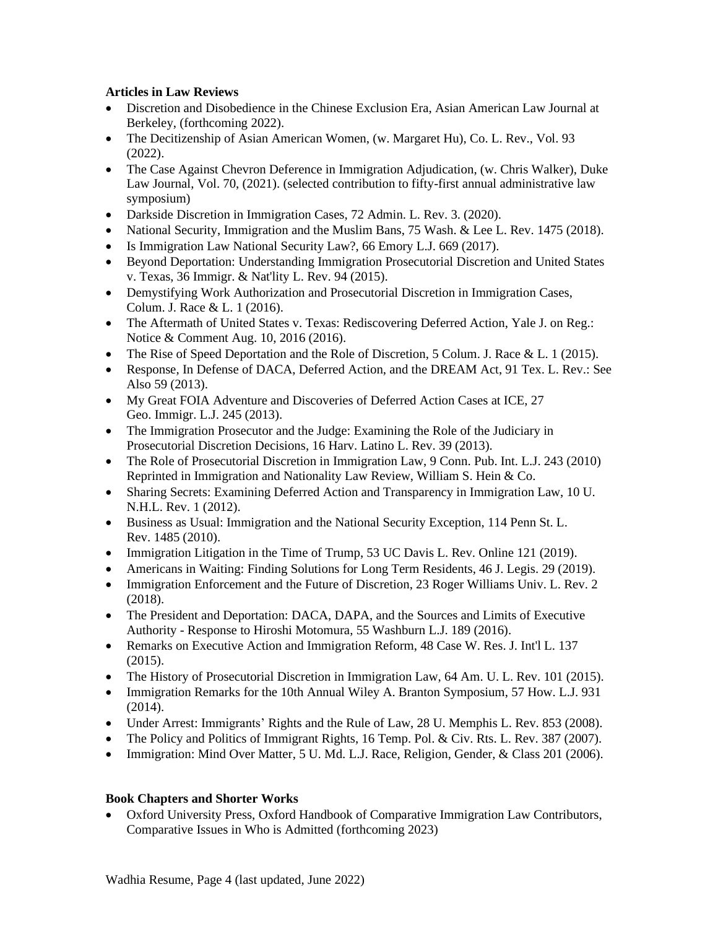### **Articles in Law Reviews**

- Discretion and Disobedience in the Chinese Exclusion Era, Asian American Law Journal at Berkeley, (forthcoming 2022).
- The Decitizenship of Asian American Women, (w. Margaret Hu), Co. L. Rev., Vol. 93 (2022).
- The Case Against Chevron Deference in Immigration [Adjudication,](https://papers.ssrn.com/sol3/papers.cfm?abstract_id=3662827) (w. Chris Walker), Duke Law Journal, Vol. 70, (2021). (selected contribution to fifty-first annual administrative law symposium)
- Darkside Discretion in [Immigration](https://papers.ssrn.com/sol3/papers.cfm?abstract_id=3544110) Cases, 72 Admin. L. Rev. 3. (2020).
- National Security, [Immigration](https://pennstatelaw.psu.edu/sites/default/files/pictures/faculty/W%20%20L.pdf) and the Muslim Bans, 75 Wash. & Lee L. Rev. 1475 (2018).
- Is [Immigration](https://papers.ssrn.com/sol3/papers.cfm?abstract_id=2821905) Law National Security Law?, 66 Emory L.J. 669 (2017).
- Beyond Deportation: [Understanding](http://papers.ssrn.com/sol3/papers.cfm?abstract_id=2821839) Immigration Prosecutorial Discretion and United States v. [Texas,](http://papers.ssrn.com/sol3/papers.cfm?abstract_id=2821839) 36 Immigr. & Nat'lity L. Rev. 94 (2015).
- Demystifying Work [Authorization](http://papers.ssrn.com/sol3/papers.cfm?abstract_id=2630133) and Prosecutorial Discretion in Immigration Cases, Colum. J. Race & L. 1 (2016).
- The Aftermath of United States v. Texas: [Rediscovering](https://papers.ssrn.com/sol3/papers.cfm?abstract_id=2821158) Deferred Action, Yale J. on Reg.: Notice & Comment Aug. 10, 2016 (2016).
- The Rise of Speed [Deportation](http://papers.ssrn.com/sol3/papers.cfm?abstract_id=2486821) and the Role of Discretion, 5 Colum. J. Race & L. 1 (2015).
- [Response,](http://papers.ssrn.com/sol3/papers.cfm?abstract_id=2195735) In Defense of DACA, Deferred Action, and the [DREAM](http://papers.ssrn.com/sol3/papers.cfm?abstract_id=2195735) Act, 91 Tex. L. Rev.: See Also 59 (2013).
- My Great FOIA Adventure and [Discoveries](http://papers.ssrn.com/sol3/papers.cfm?abstract_id=2195758) of Deferred Action Cases at ICE, 27 Geo. Immigr. L.J. 245 (2013).
- The [Immigration](http://papers.ssrn.com/sol3/papers.cfm?abstract_id=2033803) Prosecutor and the Judge: Examining the Role of the Judiciary in [Prosecutorial](http://papers.ssrn.com/sol3/papers.cfm?abstract_id=2033803) Discretion Decisions, 16 Harv. Latino L. Rev. 39 (2013).
- The Role of [Prosecutorial](https://pennstatelaw.psu.edu/sites/default/files/Wadhia%20ForPrinter.pdf) Discretion in Immigration Law, 9 Conn. Pub. Int. L.J. 243 (2010) Reprinted in Immigration and Nationality Law Review, William S. Hein & Co.
- Sharing Secrets: Examining Deferred Action and [Transparency](http://papers.ssrn.com/sol3/papers.cfm?abstract_id=1879443) in Immigration Law, 10 U. N.H.L. Rev. 1 (2012).
- Business as Usual: [Immigration](http://papers.ssrn.com/sol3/papers.cfm?abstract_id=1658073) and the National Security Exception, 114 Penn St. L. Rev. 1485 (2010).
- [Immigration](https://papers.ssrn.com/sol3/papers.cfm?abstract_id=3488001) Litigation in the Time of Trump, 53 UC Davis L. Rev. Online 121 (2019).
- [Americans](https://scholarship.law.nd.edu/jleg/vol46/iss1/2/) in Waiting: Finding Solutions for Long Term Residents, 46 J. Legis. 29 (2019).
- Immigration [Enforcement](https://docs.rwu.edu/rwu_LR/vol23/iss2/4/) and the Future of Discretion, 23 Roger Williams Univ. L. Rev. 2 (2018).
- The President and [Deportation:](https://papers.ssrn.com/sol3/papers.cfm?abstract_id=2736341) DACA, DAPA, and the Sources and Limits of Executive Authority - Response to Hiroshi [Motomura,](https://papers.ssrn.com/sol3/papers.cfm?abstract_id=2736341) 55 Washburn L.J. 189 (2016).
- Remarks on Executive Action and [Immigration](http://papers.ssrn.com/sol3/papers.cfm?abstract_id=2734374) Reform, 48 Case W. Res. J. Int'l L. 137 (2015).
- The History of [Prosecutorial](http://papers.ssrn.com/sol3/papers.cfm?abstract_id=2605164) Discretion in Immigration Law, 64 Am. U. L. Rev. 101 (2015).
- [Immigration](http://papers.ssrn.com/sol3/papers.cfm?abstract_id=2461361) Remarks for the 10th Annual Wiley A. Branton Symposium, 57 How. L.J. 931 (2014).
- Under Arrest: [Immigrants'](http://papers.ssrn.com/sol3/papers.cfm?abstract_id=1346581) Rights and the Rule of Law, 28 U. Memphis L. Rev. 853 (2008).
- The Policy and Politics of [Immigrant](http://papers.ssrn.com/sol3/papers.cfm?abstract_id=1346592) Rights, 16 Temp. Pol. & Civ. Rts. L. Rev. 387 (2007).
- [Immigration:](http://papers.ssrn.com/sol3/papers.cfm?abstract_id=1346586) Mind Over Matter, 5 U. Md. L.J. Race, Religion, Gender, & Class 201 (2006).

### **Book Chapters and Shorter Works**

• Oxford University Press, Oxford Handbook of Comparative Immigration Law Contributors, Comparative Issues in Who is Admitted (forthcoming 2023)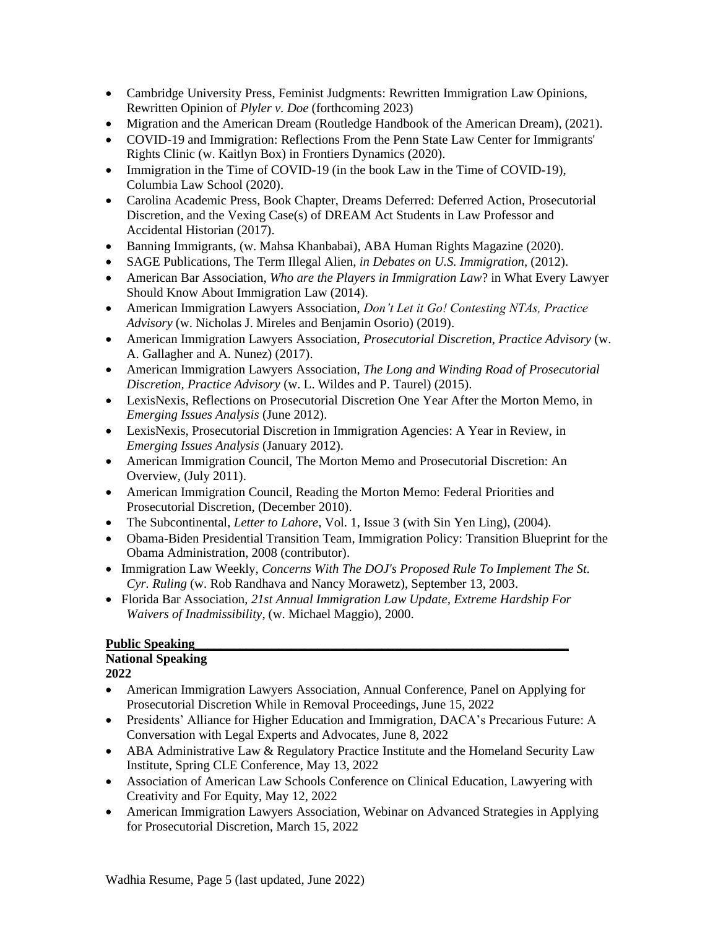- Cambridge University Press, Feminist Judgments: Rewritten Immigration Law Opinions, Rewritten Opinion of *Plyler v. Doe* (forthcoming 2023)
- Migration and the American Dream (Routledge Handbook of the American Dream), (2021).
- COVID-19 and Immigration: Reflections From the Penn State Law Center for Immigrants' [Rights Clinic](https://www.frontiersin.org/articles/10.3389/fhumd.2020.592980/full?&utm_source=Email_to_authors_&utm_medium=Email&utm_content=T1_11.5e1_author&utm_campaign=Email_publication&field=&journalName=Frontiers_in_Human_Dynamics&id=592980) (w. Kaitlyn Box) in Frontiers Dynamics (2020).
- Immigration in the Time of COVID-19 (in the book Law in the Time of [COVID-19\)](https://www.law.columbia.edu/news/archive/law-time-covid-19). Columbia Law School (2020).
- Carolina Academic Press, Book Chapter, Dreams Deferred: Deferred Action, Prosecutorial Discretion, and the Vexing Case(s) of DREAM Act Students in [Law Professor and](http://www.cap-press.com/pdf/9781611636864.pdf)  [Accidental Historian](http://www.cap-press.com/pdf/9781611636864.pdf) (2017).
- Banning [Immigrants,](https://papers.ssrn.com/sol3/papers.cfm?abstract_id=3544110) (w. Mahsa Khanbabai), ABA Human Rights Magazine (2020).
- SAGE Publications, The Term Illegal Alien, *in Debates on U.S. Immigration*, (2012).
- American Bar Association, *Who are the Players in Immigration Law*? in What Every Lawyer Should Know About Immigration Law (2014).
- American Immigration Lawyers Association, *Don't Let it Go! Contesting NTAs, Practice Advisory* (w. Nicholas J. Mireles and Benjamin Osorio) (2019).
- American Immigration Lawyers Association, *Prosecutorial Discretion, Practice Advisory* (w. A. Gallagher and A. Nunez) (2017).
- American Immigration Lawyers Association, *The Long and Winding Road of Prosecutorial Discretion, Practice Advisory* (w. L. Wildes and P. Taurel) (2015).
- LexisNexis, Reflections on Prosecutorial Discretion One Year After the Morton Memo, in *Emerging Issues Analysis* (June 2012).
- LexisNexis, Prosecutorial Discretion in Immigration Agencies: A Year in Review, in *Emerging Issues Analysis* (January 2012).
- American Immigration Council, [The Morton Memo and Prosecutorial Discretion: An](http://immigrationpolicy.org/special-reports/morton-memo-and-prosecutorial-discretion-overview-0)  [Overview,](http://immigrationpolicy.org/special-reports/morton-memo-and-prosecutorial-discretion-overview-0) (July 2011).
- American Immigration Council, Reading the Morton Memo: Federal Priorities and [Prosecutorial Discretion,](http://www.immigrationpolicy.org/special-reports/reading-morton-memo-federal-priorities-and-prosecutorial-discretion) (December 2010).
- The Subcontinental, *Letter to Lahore*, Vol. 1, Issue 3 (with Sin Yen Ling), (2004).
- Obama-Biden Presidential Transition Team, Immigration Policy: Transition Blueprint for the Obama Administration, 2008 (contributor).
- Immigration Law Weekly, *Concerns With The DOJ's Proposed Rule To Implement The St. Cyr. Ruling* (w. Rob Randhava and Nancy Morawetz), September 13, 2003.
- Florida Bar Association, *21st Annual Immigration Law Update, Extreme Hardship For Waivers of Inadmissibility*, (w. Michael Maggio), 2000.

#### Public Speaking

### **National Speaking**

- American Immigration Lawyers Association, Annual Conference, Panel on Applying for Prosecutorial Discretion While in Removal Proceedings, June 15, 2022
- Presidents' Alliance for Higher Education and Immigration, DACA's Precarious Future: A Conversation with Legal Experts and Advocates, June 8, 2022
- ABA Administrative Law & Regulatory Practice Institute and the Homeland Security Law Institute, Spring CLE Conference, May 13, 2022
- Association of American Law Schools Conference on Clinical Education, Lawyering with Creativity and For Equity, May 12, 2022
- American Immigration Lawyers Association, Webinar on Advanced Strategies in Applying for Prosecutorial Discretion, March 15, 2022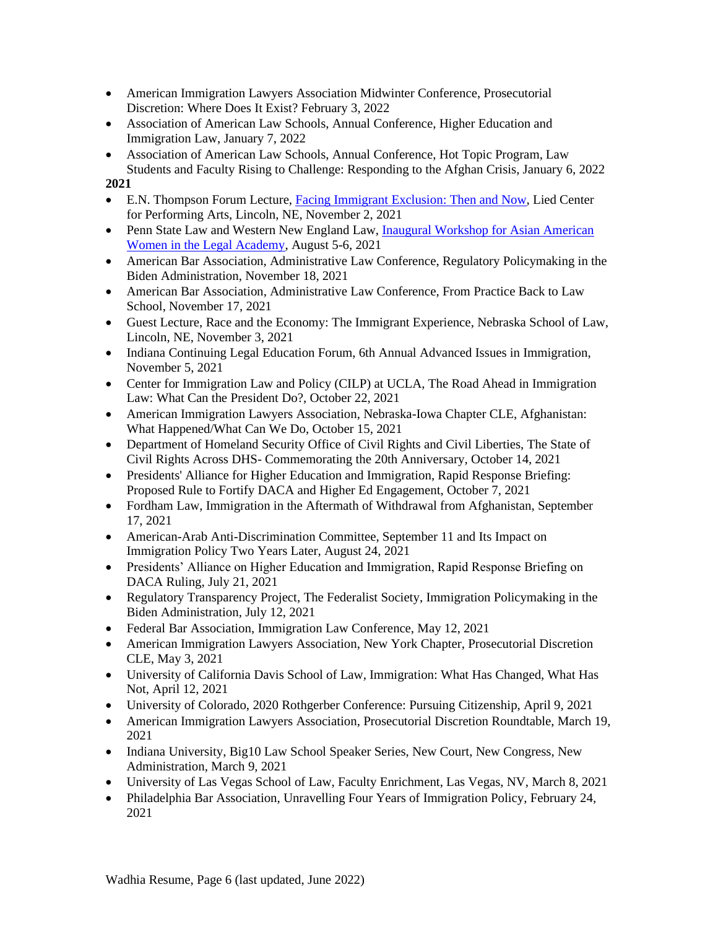- American Immigration Lawyers Association Midwinter Conference, Prosecutorial Discretion: Where Does It Exist? February 3, 2022
- Association of American Law Schools, Annual Conference, Higher Education and Immigration Law, January 7, 2022
- Association of American Law Schools, Annual Conference, Hot Topic Program, Law Students and Faculty Rising to Challenge: Responding to the Afghan Crisis, January 6, 2022

- E.N. Thompson Forum Lecture, Facing Immigrant [Exclusion:](https://mediahub.unl.edu/media/18254) Then and Now, Lied Center for Performing Arts, Lincoln, NE, November 2, 2021
- Penn State Law and Western New England Law, Inaugural Workshop for Asian American [Women in the Legal Academy,](https://pennstatelaw.psu.edu/events/asian-american-women-workshop) August 5-6, 2021
- American Bar Association, Administrative Law Conference, Regulatory Policymaking in the Biden Administration, November 18, 2021
- American Bar Association, Administrative Law Conference, From Practice Back to Law School, November 17, 2021
- Guest Lecture, Race and the Economy: The Immigrant Experience, Nebraska School of Law, Lincoln, NE, November 3, 2021
- Indiana Continuing Legal Education Forum, 6th Annual Advanced Issues in Immigration, November 5, 2021
- Center for Immigration Law and Policy (CILP) at UCLA, The Road Ahead in Immigration Law: What Can the President Do?, October 22, 2021
- American Immigration Lawyers Association, Nebraska-Iowa Chapter CLE, Afghanistan: What Happened/What Can We Do, October 15, 2021
- Department of Homeland Security Office of Civil Rights and Civil Liberties, The State of Civil Rights Across DHS- Commemorating the 20th Anniversary, October 14, 2021
- Presidents' Alliance for Higher Education and Immigration, Rapid Response Briefing: Proposed Rule to Fortify DACA and Higher Ed Engagement, October 7, 2021
- Fordham Law, Immigration in the Aftermath of Withdrawal from Afghanistan, September 17, 2021
- American-Arab Anti-Discrimination Committee, September 11 and Its Impact on Immigration Policy Two Years Later, August 24, 2021
- Presidents' Alliance on Higher Education and Immigration, Rapid Response Briefing on DACA Ruling, July 21, 2021
- Regulatory Transparency Project, The Federalist Society, Immigration Policymaking in the Biden Administration, July 12, 2021
- Federal Bar Association, Immigration Law Conference, May 12, 2021
- American Immigration Lawyers Association, New York Chapter, Prosecutorial Discretion CLE, May 3, 2021
- University of California Davis School of Law, Immigration: What Has Changed, What Has Not, April 12, 2021
- University of Colorado, 2020 Rothgerber Conference: Pursuing Citizenship, April 9, 2021
- American Immigration Lawyers Association, Prosecutorial Discretion Roundtable, March 19, 2021
- Indiana University, Big10 Law School Speaker Series, New Court, New Congress, New Administration, March 9, 2021
- University of Las Vegas School of Law, Faculty Enrichment, Las Vegas, NV, March 8, 2021
- Philadelphia Bar Association, Unravelling Four Years of Immigration Policy, February 24, 2021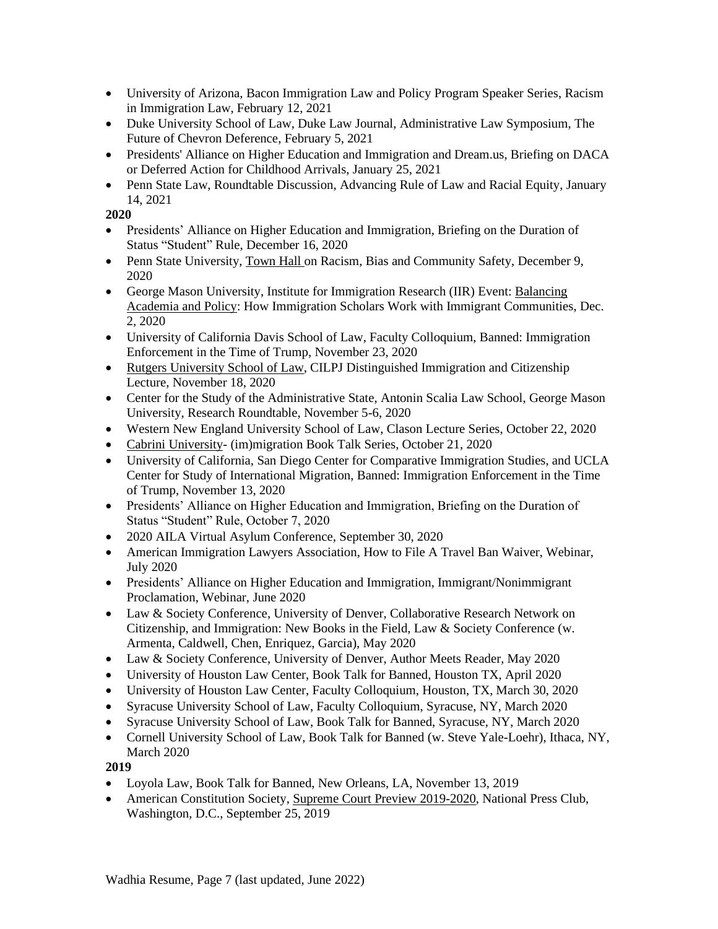- University of Arizona, Bacon Immigration Law and Policy Program Speaker Series, Racism in Immigration Law, February 12, 2021
- Duke University School of Law, Duke Law Journal, Administrative Law Symposium, The Future of Chevron Deference, February 5, 2021
- Presidents' Alliance on Higher Education and Immigration and Dream.us, Briefing on DACA or Deferred Action for Childhood Arrivals, January 25, 2021
- Penn State Law, Roundtable Discussion, Advancing Rule of Law and Racial Equity, January 14, 2021

- Presidents' Alliance on Higher Education and Immigration, Briefing on the Duration of Status "Student" Rule, December 16, 2020
- Penn State University, [Town](https://news.psu.edu/story/641651/2020/12/09/administration/racism-bias-and-community-safety-recommendations-discussed) Hall [o](https://news.psu.edu/story/641651/2020/12/09/administration/racism-bias-and-community-safety-recommendations-discussed)n Racism, Bias and Community Safety, December 9, 2020
- George Mason University, Institute for Immigration Research (IIR) Event: [Balancing](https://iir.gmu.edu/articles/15115) [Academia](https://iir.gmu.edu/articles/15115) and Policy: How Immigration Scholars Work with Immigrant Communities, Dec. 2, 2020
- University of California Davis School of Law, Faculty Colloquium, Banned: Immigration Enforcement in the Time of Trump, November 23, 2020
- Rutgers [University](https://events.law.rutgers.edu/#!view/event/date/20201118/event_id/914) School of Law, CILPJ Distinguished Immigration and Citizenship Lecture, November 18, 2020
- Center for the Study of the Administrative State, Antonin Scalia Law School, George Mason University, Research Roundtable, November 5-6, 2020
- Western New England University School of Law, Clason Lecture Series, October 22, 2020
- Cabrini [University-](https://www.cabrini.edu/about/departments/academic-departments/school-of-humanities-and-social-sciences/center-on-immigration/center-events) (im)migration Book Talk Series, October 21, 2020
- University of California, San Diego Center for Comparative Immigration Studies, and UCLA Center for Study of International Migration, Banned: Immigration Enforcement in the Time of Trump, November 13, 2020
- Presidents' Alliance on Higher Education and Immigration, Briefing on the Duration of Status "Student" Rule, October 7, 2020
- 2020 AILA Virtual Asylum Conference, September 30, 2020
- American Immigration Lawyers Association, How to File A Travel Ban Waiver, Webinar, July 2020
- Presidents' Alliance on Higher Education and Immigration, Immigrant/Nonimmigrant Proclamation, Webinar, June 2020
- Law & Society Conference, University of Denver, Collaborative Research Network on Citizenship, and Immigration: New Books in the Field, Law & Society Conference (w. Armenta, Caldwell, Chen, Enriquez, Garcia), May 2020
- Law & Society Conference, University of Denver, Author Meets Reader, May 2020
- University of Houston Law Center, Book Talk for Banned, Houston TX, April 2020
- University of Houston Law Center, Faculty Colloquium, Houston, TX, March 30, 2020
- Syracuse University School of Law, Faculty Colloquium, Syracuse, NY, March 2020
- Syracuse University School of Law, Book Talk for Banned, Syracuse, NY, March 2020
- Cornell University School of Law, Book Talk for Banned (w. Steve Yale-Loehr), Ithaca, NY, March 2020

- Loyola Law, Book Talk for Banned, New Orleans, LA, November 13, 2019
- American Constitution Society, Supreme Court Preview [2019-2020,](https://www.acslaw.org/event/the-2019-2020-supreme-court-preview/) National Press Club, Washington, D.C., September 25, 2019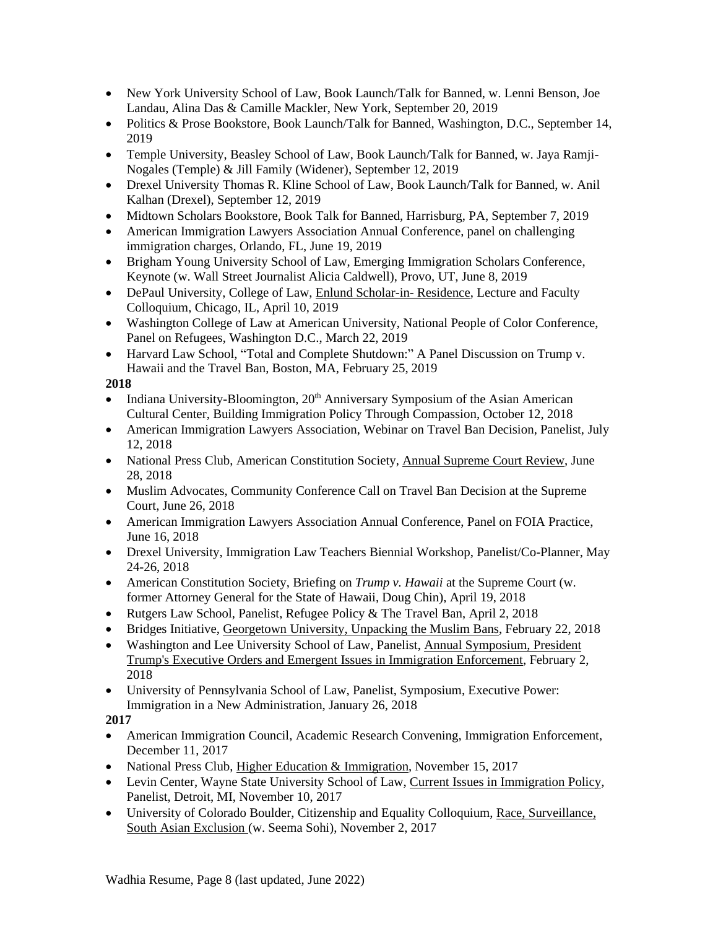- New York University School of Law, Book Launch/Talk for Banned, w. Lenni Benson, Joe Landau, Alina Das & Camille Mackler, New York, September 20, 2019
- Politics & Prose Bookstore, Book Launch/Talk for Banned, Washington, D.C., September 14, 2019
- Temple University, Beasley School of Law, Book Launch/Talk for Banned, w. Jaya Ramji-Nogales (Temple) & Jill Family (Widener), September 12, 2019
- Drexel University Thomas R. Kline School of Law, Book Launch/Talk for Banned, w. Anil Kalhan (Drexel), September 12, 2019
- Midtown Scholars Bookstore, Book Talk for Banned, Harrisburg, PA, September 7, 2019
- American Immigration Lawyers Association Annual Conference, panel on challenging immigration charges, Orlando, FL, June 19, 2019
- Brigham Young University School of Law, Emerging Immigration Scholars Conference, Keynote (w. Wall Street Journalist Alicia Caldwell), Provo, UT, June 8, 2019
- DePaul University, College of Law, Enlund [Scholar-in-](https://www.eventbrite.com/e/banned-immigration-enforcement-in-the-time-of-trump-by-prof-shoba-wadhia-tickets-58160198720) Residence, Lecture and Faculty Colloquium, Chicago, IL, April 10, 2019
- Washington College of Law at American University, National People of Color Conference, Panel on Refugees, Washington D.C., March 22, 2019
- Harvard Law School, "Total and Complete Shutdown:" A Panel Discussion on Trump v. Hawaii and the Travel Ban, Boston, MA, February 25, 2019

- Indiana University-Bloomington, 20<sup>th</sup> Anniversary Symposium of the Asian American Cultural Center, Building Immigration Policy Through Compassion, October 12, 2018
- American Immigration Lawyers Association, Webinar on Travel Ban Decision, Panelist, July 12, 2018
- National Press Club, American Constitution Society, Annual [Supreme](https://www.c-span.org/video/?447684-1/legal-experts-discuss-major-supreme-court-decisions-2017) Court Review, June 28, 2018
- Muslim Advocates, Community Conference Call on Travel Ban Decision at the Supreme Court, June 26, 2018
- American Immigration Lawyers Association Annual Conference, Panel on FOIA Practice, June 16, 2018
- Drexel University, Immigration Law Teachers Biennial Workshop, Panelist/Co-Planner, May 24-26, 2018
- American Constitution Society, Briefing on *Trump v. Hawaii* at the Supreme Court (w. former Attorney General for the State of Hawaii, Doug Chin), April 19, 2018
- Rutgers Law School, Panelist, Refugee Policy & The Travel Ban, April 2, 2018
- Bridges Initiative, [Georgetown](http://sfs.georgetown.edu/sfsevent/unpacking-the-muslim-bans-with-shoba-wadhia/) University, Unpacking the Muslim Bans, February 22, 2018
- Washington and Lee University School of Law, Panelist, Annual [Symposium,](http://lawreview.journals.wlu.io/current-symposium/) President Trump's Executive Orders and Emergent Issues in Immigration [Enforcement,](http://lawreview.journals.wlu.io/current-symposium/) February 2, 2018
- University of Pennsylvania School of Law, Panelist, Symposium, Executive Power: Immigration in a New Administration, January 26, 2018

- American Immigration Council, Academic Research Convening, Immigration Enforcement, December 11, 2017
- National Press Club, Higher Education & [Immigration,](http://browse.calendar.gwu.edu/EventList.aspx?fromdate=11/1/2017&todate=11/30/2017&display=Month&type=public&eventidn=15282&view=EventDetails&information_id=28777&print=print) November 15, 2017
- Levin Center, Wayne State University School of Law, Current Issues in [Immigration](https://law.wayne.edu/levin-center/currentissuesinimmigrationlaw) Policy, Panelist, Detroit, MI, November 10, 2017
- University of Colorado Boulder, Citizenship and Equality Colloquium, Race, [Surveillance,](https://www.colorado.edu/law/research/faculty-colloquia-and-distinguished-lecturers/citizenship-and-equality-colloquium) South Asian [Exclusion](https://www.colorado.edu/law/research/faculty-colloquia-and-distinguished-lecturers/citizenship-and-equality-colloquium) (w. Seema Sohi), November 2, 2017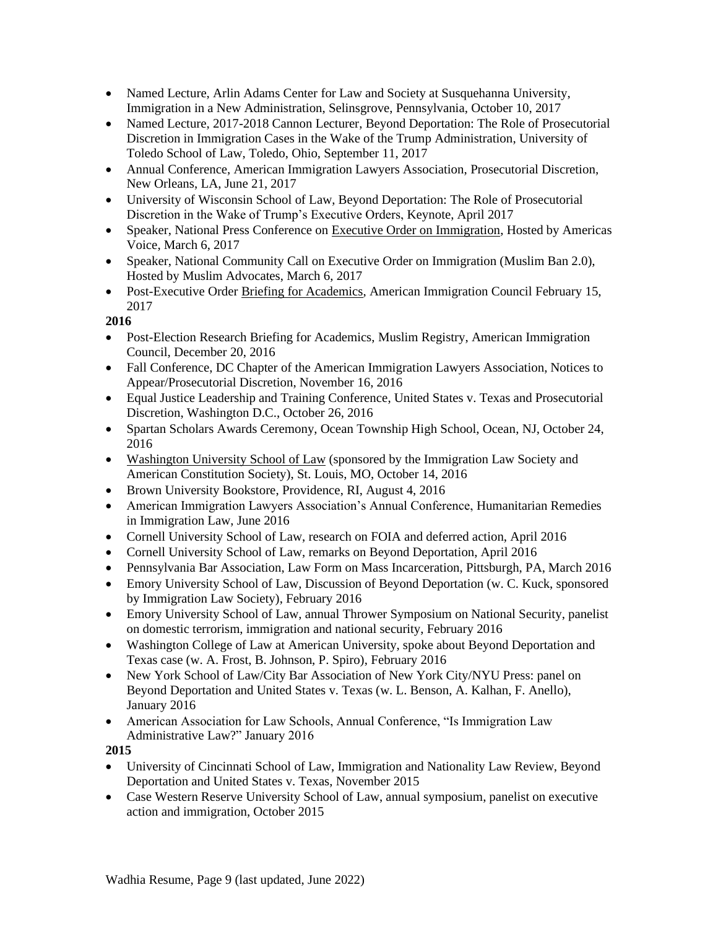- Named Lecture, Arlin Adams Center for Law and Society at Susquehanna University, Immigration in a New Administration, Selinsgrove, Pennsylvania, October 10, 2017
- Named Lecture, 2017-2018 Cannon Lecturer, Beyond Deportation: The Role of Prosecutorial Discretion in Immigration Cases in the Wake of the Trump Administration, University of Toledo School of Law, Toledo, Ohio, September 11, 2017
- Annual Conference, American Immigration Lawyers Association, Prosecutorial Discretion, New Orleans, LA, June 21, 2017
- University of Wisconsin School of Law, Beyond Deportation: The Role of Prosecutorial Discretion in the Wake of Trump's Executive Orders, Keynote, April 2017
- Speaker, National Press Conference o[n Executive Order on Immigration,](https://pennstatelaw.psu.edu/sites/default/files/AVEF%20Press%20Release%20on%20Immigration%20EO.pdf) Hosted by Americas Voice, March 6, 2017
- Speaker, National Community Call on Executive Order on Immigration (Muslim Ban 2.0), Hosted by Muslim Advocates, March 6, 2017
- Post-Executive Order [Briefing for Academics,](https://www.americanimmigrationcouncil.org/sites/default/files/research_briefing_on_the_new_immigration_executive_orders_02.16.17.mp3) American Immigration Council February 15, 2017

- Post-Election Research Briefing for Academics, Muslim Registry, American Immigration Council, December 20, 2016
- Fall Conference, DC Chapter of the American Immigration Lawyers Association, Notices to Appear/Prosecutorial Discretion, November 16, 2016
- Equal Justice Leadership and Training Conference, United States v. Texas and Prosecutorial Discretion, Washington D.C., October 26, 2016
- Spartan Scholars Awards Ceremony, Ocean Township High School, Ocean, NJ, October 24, 2016
- [Washington University School of Law](http://media.wix.com/ugd/6e1c09_8fb5bdace2d344588fcd4e2d6b040f4c.pdf) (sponsored by the Immigration Law Society and American Constitution Society), St. Louis, MO, October 14, 2016
- [Brown University Bookstore,](http://media.wix.com/ugd/6e1c09_86d8bf9d8d764dfeae3d7e36e1e8ff46.pdf) Providence, RI, August 4, 2016
- American Immigration Lawyers Association's Annual Conference, Humanitarian Remedies in Immigration Law, June 2016
- Cornell University School of Law, research on FOIA and deferred action, April 2016
- Cornell University School of Law, remarks on Beyond Deportation, April 2016
- Pennsylvania Bar Association, Law Form on Mass Incarceration, Pittsburgh, PA, March 2016
- Emory University School of Law, Discussion of Beyond Deportation (w. C. Kuck, sponsored by Immigration Law Society), February 2016
- Emory University School of Law, annual Thrower Symposium on National Security, panelist on domestic terrorism, immigration and national security, February 2016
- Washington College of Law at American University, spoke about Beyond Deportation and Texas case (w. A. Frost, B. Johnson, P. Spiro), February 2016
- New York School of Law/City Bar Association of New York City/NYU Press: panel on Beyond Deportation and United States v. Texas (w. L. Benson, A. Kalhan, F. Anello), January 2016
- American Association for Law Schools, Annual Conference, "Is Immigration Law Administrative Law?" January 2016

- University of Cincinnati School of Law, Immigration and Nationality Law Review, Beyond Deportation and United States v. Texas, November 2015
- Case Western Reserve University School of Law, annual symposium, panelist on executive action and immigration, October 2015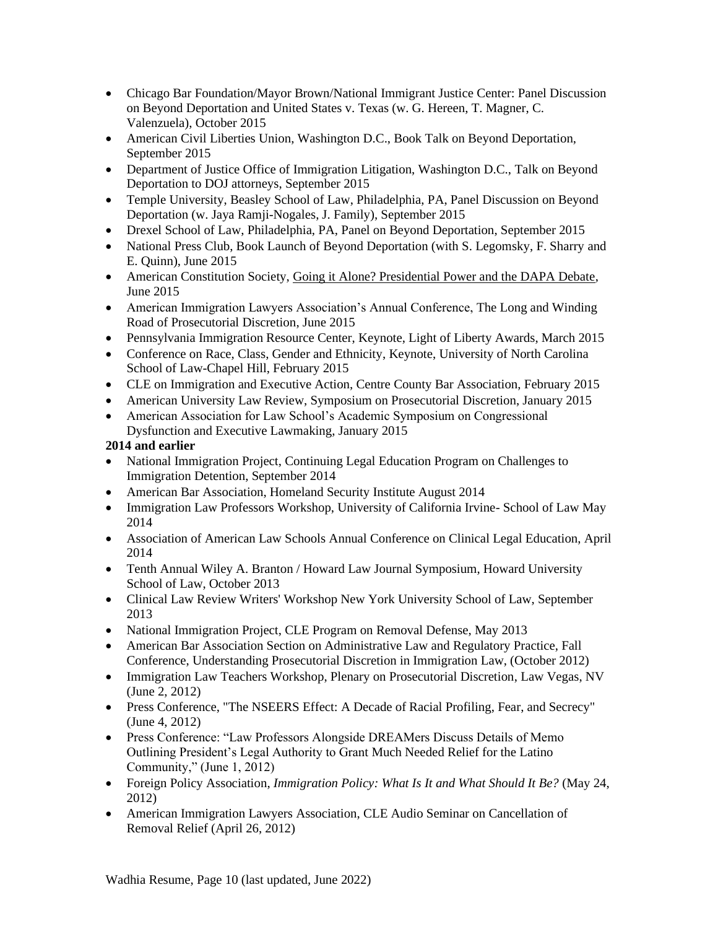- Chicago Bar Foundation/Mayor Brown/National Immigrant Justice Center: Panel Discussion on Beyond Deportation and United States v. Texas (w. G. Hereen, T. Magner, C. Valenzuela), October 2015
- American Civil Liberties Union, Washington D.C., Book Talk on Beyond Deportation, September 2015
- Department of Justice Office of Immigration Litigation, Washington D.C., Talk on Beyond Deportation to DOJ attorneys, September 2015
- [Temple University, Beasley](http://media.wix.com/ugd/6e1c09_b9d8ea0f2c984976864b5fcd31cc0959.pdf) School of Law, Philadelphia, PA, Panel Discussion on Beyond Deportation (w. Jaya Ramji-Nogales, J. Family), September 2015
- [Drexel School of Law,](http://media.wix.com/ugd/6e1c09_881f2ae9fd024c7e91d332e45d25cebe.pdf) Philadelphia, PA, Panel on Beyond Deportation, September 2015
- National Press Club, Book Launch of Beyond Deportation (with S. Legomsky, F. Sharry and E. Quinn), June 2015
- American Constitution Society, [Going it Alone? Presidential Power and the DAPA Debate,](https://www.acslaw.org/news/video/going-it-alone-presidential-power-and-the-dapa-debate) June 2015
- American Immigration Lawyers Association's Annual Conference, The Long and Winding Road of Prosecutorial Discretion, June 2015
- Pennsylvania Immigration Resource Center, Keynote, Light of Liberty Awards, March 2015
- Conference on Race, Class, Gender and Ethnicity, Keynote, University of North Carolina School of Law-Chapel Hill, February 2015
- CLE on Immigration and Executive Action, Centre County Bar Association, February 2015
- American University Law Review, Symposium on Prosecutorial Discretion, January 2015
- American Association for Law School's Academic Symposium on Congressional Dysfunction and Executive Lawmaking, January 2015

### **2014 and earlier**

- National Immigration Project, Continuing Legal Education Program on Challenges to Immigration Detention, September 2014
- American Bar Association, Homeland Security Institute August 2014
- Immigration Law Professors Workshop, University of California Irvine- School of Law May 2014
- Association of American Law Schools Annual Conference on Clinical Legal Education, April 2014
- Tenth Annual Wiley A. Branton / Howard Law Journal Symposium, Howard University School of Law, October 2013
- Clinical Law Review Writers' Workshop New York University School of Law, September 2013
- National Immigration Project, CLE Program on Removal Defense, May 2013
- American Bar Association Section on Administrative Law and Regulatory Practice, Fall Conference, Understanding Prosecutorial Discretion in Immigration Law, (October 2012)
- Immigration Law Teachers Workshop, Plenary on Prosecutorial Discretion, Law Vegas, NV (June 2, 2012)
- Press Conference, "The NSEERS Effect: A Decade of Racial Profiling, Fear, and Secrecy" (June 4, 2012)
- Press Conference: "Law Professors Alongside DREAMers Discuss Details of Memo Outlining President's Legal Authority to Grant Much Needed Relief for the Latino Community," (June 1, 2012)
- Foreign Policy Association, *Immigration Policy: What Is It and What Should It Be?* (May 24, 2012)
- American Immigration Lawyers Association, CLE Audio Seminar on Cancellation of Removal Relief (April 26, 2012)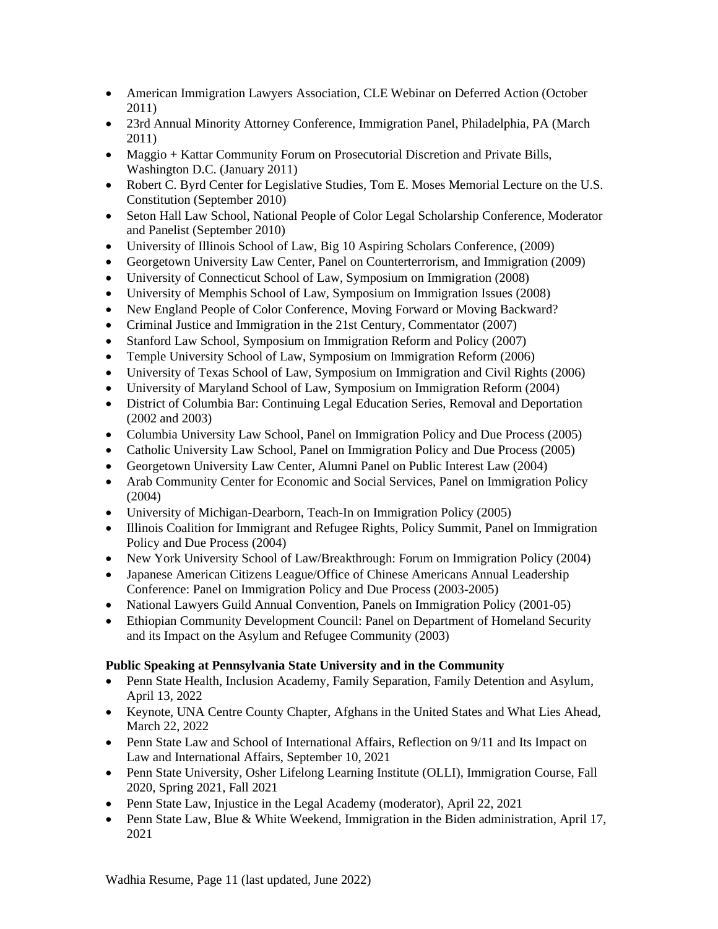- American Immigration Lawyers Association, CLE Webinar on Deferred Action (October 2011)
- 23rd Annual Minority Attorney Conference, Immigration Panel, Philadelphia, PA (March 2011)
- Maggio + Kattar Community Forum on Prosecutorial Discretion and Private Bills, Washington D.C. (January 2011)
- Robert C. Byrd Center for Legislative Studies, Tom E. Moses Memorial Lecture on the U.S. Constitution (September 2010)
- Seton Hall Law School, National People of Color Legal Scholarship Conference, Moderator and Panelist (September 2010)
- University of Illinois School of Law, Big 10 Aspiring Scholars Conference, (2009)
- Georgetown University Law Center, Panel on Counterterrorism, and Immigration (2009)
- University of Connecticut School of Law, Symposium on Immigration (2008)
- University of Memphis School of Law, Symposium on Immigration Issues (2008)
- New England People of Color Conference, Moving Forward or Moving Backward?
- Criminal Justice and Immigration in the 21st Century, Commentator (2007)
- Stanford Law School, Symposium on Immigration Reform and Policy (2007)
- Temple University School of Law, Symposium on Immigration Reform (2006)
- University of Texas School of Law, Symposium on Immigration and Civil Rights (2006)
- University of Maryland School of Law, Symposium on Immigration Reform (2004)
- District of Columbia Bar: Continuing Legal Education Series, Removal and Deportation (2002 and 2003)
- Columbia University Law School, Panel on Immigration Policy and Due Process (2005)
- Catholic University Law School, Panel on Immigration Policy and Due Process (2005)
- Georgetown University Law Center, Alumni Panel on Public Interest Law (2004)
- Arab Community Center for Economic and Social Services, Panel on Immigration Policy (2004)
- University of Michigan-Dearborn, Teach-In on Immigration Policy (2005)
- Illinois Coalition for Immigrant and Refugee Rights, Policy Summit, Panel on Immigration Policy and Due Process (2004)
- New York University School of Law/Breakthrough: Forum on Immigration Policy (2004)
- Japanese American Citizens League/Office of Chinese Americans Annual Leadership Conference: Panel on Immigration Policy and Due Process (2003-2005)
- National Lawyers Guild Annual Convention, Panels on Immigration Policy (2001-05)
- Ethiopian Community Development Council: Panel on Department of Homeland Security and its Impact on the Asylum and Refugee Community (2003)

### **Public Speaking at Pennsylvania State University and in the Community**

- Penn State Health, Inclusion Academy, Family Separation, Family Detention and Asylum, April 13, 2022
- Keynote, UNA Centre County Chapter, Afghans in the United States and What Lies Ahead, March 22, 2022
- Penn State Law and School of International Affairs, Reflection on 9/11 and Its Impact on Law and International Affairs, September 10, 2021
- Penn State University, Osher Lifelong Learning Institute (OLLI), Immigration Course, Fall 2020, Spring 2021, Fall 2021
- Penn State Law, Injustice in the Legal Academy (moderator), April 22, 2021
- Penn State Law, Blue & White Weekend, Immigration in the Biden administration, April 17, 2021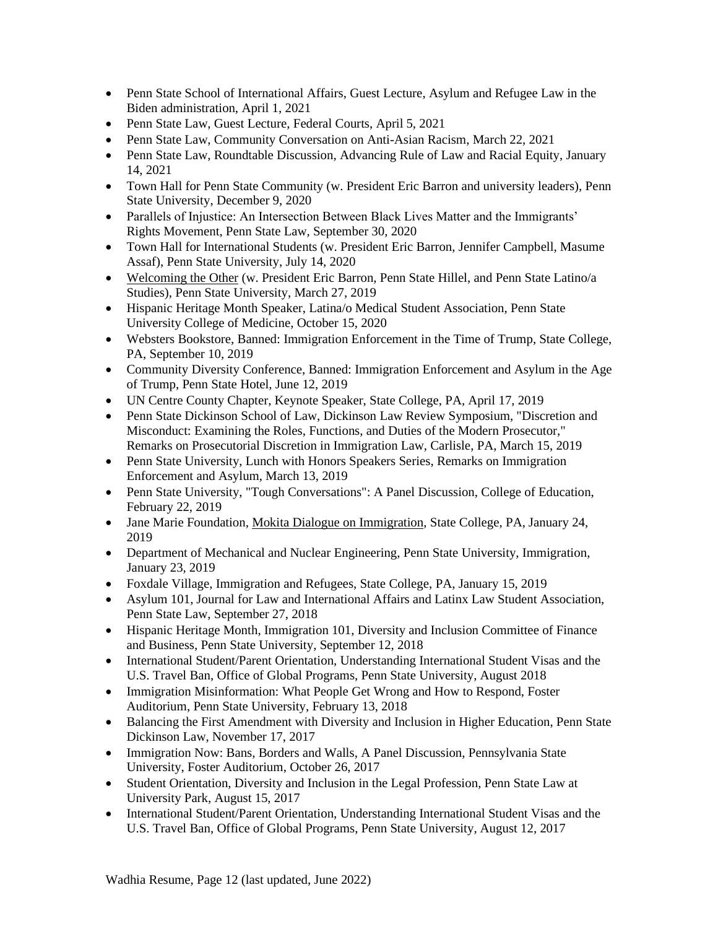- Penn State School of International Affairs, Guest Lecture, Asylum and Refugee Law in the Biden administration, April 1, 2021
- Penn State Law, Guest Lecture, Federal Courts, April 5, 2021
- Penn State Law, Community Conversation on Anti-Asian Racism, March 22, 2021
- Penn State Law, Roundtable Discussion, Advancing Rule of Law and Racial Equity, January 14, 2021
- Town Hall for Penn State Community (w. President Eric Barron and university leaders), Penn State University, December 9, 2020
- Parallels of Injustice: An Intersection Between Black Lives Matter and the Immigrants' Rights Movement, Penn State Law, September 30, 2020
- Town Hall for International Students (w. President Eric Barron, Jennifer Campbell, Masume Assaf), Penn State University, July 14, 2020
- [Welcoming](https://www.collegian.psu.edu/news/campus/article_0eaf54d4-517d-11e9-bed0-3799d5178570.html) the Other (w. President Eric Barron, Penn State Hillel, and Penn State Latino/a Studies), Penn State University, March 27, 2019
- Hispanic Heritage Month Speaker, Latina/o Medical Student Association, Penn State University College of Medicine, October 15, 2020
- Websters Bookstore, Banned: Immigration Enforcement in the Time of Trump, State College, PA, September 10, 2019
- Community Diversity Conference, Banned: Immigration Enforcement and Asylum in the Age of Trump, Penn State Hotel, June 12, 2019
- UN Centre County Chapter, Keynote Speaker, State College, PA, April 17, 2019
- Penn State Dickinson School of Law, Dickinson Law Review Symposium, "Discretion and Misconduct: Examining the Roles, Functions, and Duties of the Modern Prosecutor," Remarks on Prosecutorial Discretion in Immigration Law, Carlisle, PA, March 15, 2019
- Penn State University, Lunch with Honors Speakers Series, Remarks on Immigration Enforcement and Asylum, March 13, 2019
- Penn State University, "Tough Conversations": A Panel Discussion, College of Education, February 22, 2019
- Jane Marie Foundation, Mokita Dialogue on [Immigration,](https://www.facebook.com/JanaMarieFoundation/photos/gm.1994945477263419/2025431154237136/?type=3) State College, PA, January 24, 2019
- Department of Mechanical and Nuclear Engineering, Penn State University, Immigration, January 23, 2019
- Foxdale Village, Immigration and Refugees, State College, PA, January 15, 2019
- Asylum 101, Journal for Law and International Affairs and Latinx Law Student Association, Penn State Law, September 27, 2018
- Hispanic Heritage Month, Immigration 101, Diversity and Inclusion Committee of Finance and Business, Penn State University, September 12, 2018
- International Student/Parent Orientation, Understanding International Student Visas and the U.S. Travel Ban, Office of Global Programs, Penn State University, August 2018
- Immigration Misinformation: What People Get Wrong and How to Respond, Foster Auditorium, Penn State University, February 13, 2018
- Balancing the First Amendment with Diversity and Inclusion in Higher Education, Penn State Dickinson Law, November 17, 2017
- Immigration Now: Bans, Borders and Walls, A Panel Discussion, Pennsylvania State University, Foster Auditorium, October 26, 2017
- Student Orientation, Diversity and Inclusion in the Legal Profession, Penn State Law at University Park, August 15, 2017
- International Student/Parent Orientation, Understanding International Student Visas and the U.S. Travel Ban, Office of Global Programs, Penn State University, August 12, 2017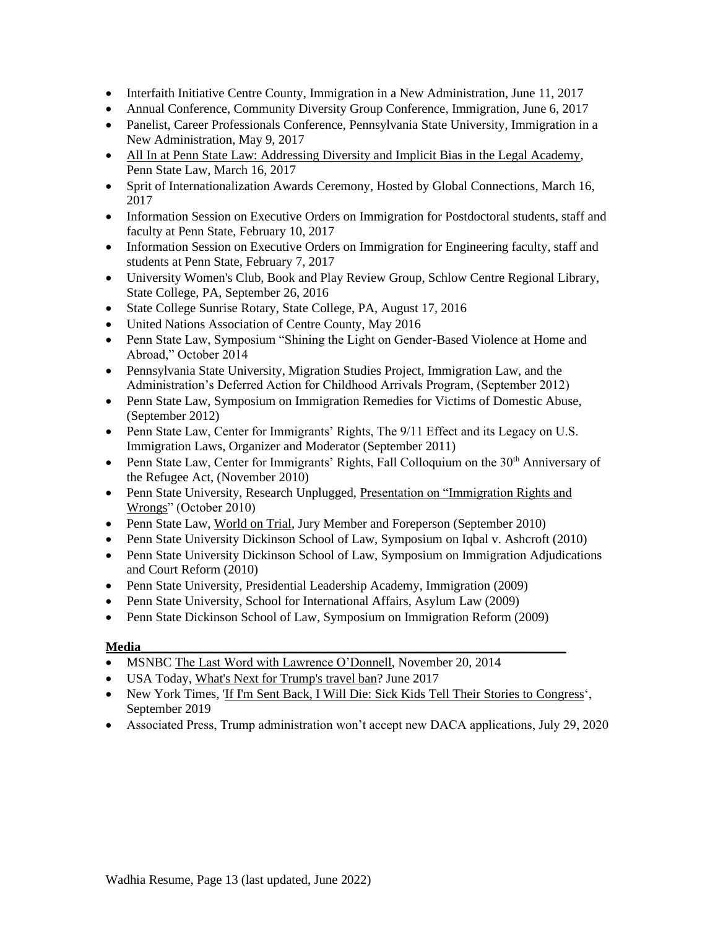- Interfaith Initiative Centre County, Immigration in a New Administration, June 11, 2017
- Annual Conference, Community Diversity Group Conference, Immigration, June 6, 2017
- Panelist, Career Professionals Conference, Pennsylvania State University, Immigration in a New Administration, May 9, 2017
- [All In at Penn State Law: Addressing Diversity and Implicit Bias in the Legal Academy,](https://pennstatelaw.psu.edu/events/all-penn-state-law-addressing-diversity-and-implicit-bias-legal-academy) Penn State Law, March 16, 2017
- Sprit of Internationalization Awards Ceremony, Hosted by Global Connections, March 16, 2017
- Information Session on Executive Orders on Immigration for Postdoctoral students, staff and faculty at Penn State, February 10, 2017
- Information Session on Executive Orders on Immigration for Engineering faculty, staff and students at Penn State, February 7, 2017
- University Women's Club, Book and Play Review Group, Schlow Centre Regional Library, State College, PA, September 26, 2016
- State College Sunrise Rotary, State College, PA, August 17, 2016
- United Nations Association of Centre County, May 2016
- Penn State Law, Symposium "Shining the Light on Gender-Based Violence at Home and Abroad," October 2014
- Pennsylvania State University, Migration Studies Project, Immigration Law, and the Administration's Deferred Action for Childhood Arrivals Program, (September 2012)
- Penn State Law, Symposium on Immigration Remedies for Victims of Domestic Abuse, (September 2012)
- Penn State Law, Center for Immigrants' Rights, The  $9/11$  Effect and its Legacy on U.S. Immigration Laws, Organizer and Moderator (September 2011)
- Penn State Law, Center for Immigrants' Rights, Fall Colloquium on the  $30<sup>th</sup>$  Anniversary of the Refugee Act, (November 2010)
- Penn State University, Research Unplugged, Presentation on "Immigration Rights and [Wrongs"](http://www.rps.psu.edu/unplugged/fall10/october27.html) (October 2010)
- Penn State Law, [World on Trial,](http://worldontrial.psu.edu/) Jury Member and Foreperson (September 2010)
- Penn State University Dickinson School of Law, Symposium on Iqbal v. Ashcroft (2010)
- Penn State University Dickinson School of Law, Symposium on Immigration Adjudications and Court Reform (2010)
- Penn State University, Presidential Leadership Academy, Immigration (2009)
- Penn State University, School for International Affairs, Asylum Law (2009)
- Penn State Dickinson School of Law, Symposium on Immigration Reform (2009)

#### **Media\_\_\_\_\_\_\_\_\_\_\_\_\_\_\_\_\_\_\_\_\_\_\_\_\_\_\_\_\_\_\_\_\_\_\_\_\_\_\_\_\_\_\_\_\_\_\_\_\_\_\_\_\_\_\_\_\_\_\_\_\_\_\_\_\_\_**

- MSNBC [The Last Word with Lawrence O'Donnell,](http://www.msnbc.com/the-last-word/watch/obama--we-are-a-nation-of-immigrants-361603139749) November 20, 2014
- USA Today, [What's Next for Trump's travel ban?](https://www.usatoday.com/story/news/world/2017/06/27/whats-next-trumps-travel-ban/431693001/) June 2017
- New York Times, ['If I'm Sent Back, I Will Die: Sick Kids Tell Their Stories to](https://www.nytimes.com/2019/09/11/us/politics/immigrant-deportation-illnesses.html) Congress', September 2019
- Associated Press, Trump administration won't accept new DACA applications, July 29, 2020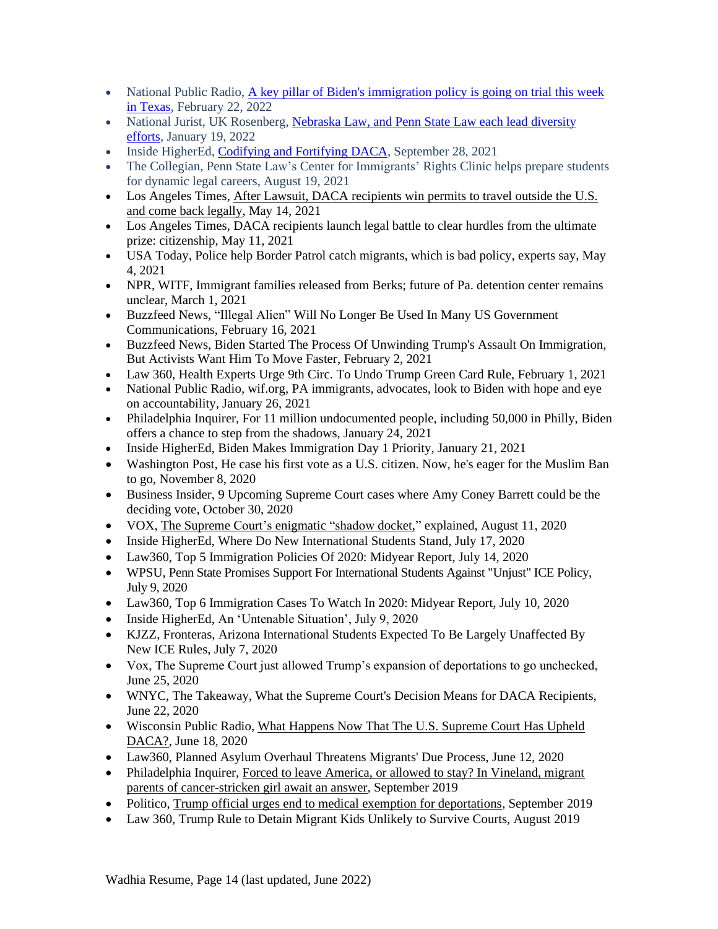- National Public Radio, A key pillar of Biden's [immigration](https://www.npr.org/2022/02/22/1081635394/a-key-pillar-of-bidens-immigration-policy-is-going-on-trial-this-week-in-texas) policy is going on trial this week in [Texas,](https://www.npr.org/2022/02/22/1081635394/a-key-pillar-of-bidens-immigration-policy-is-going-on-trial-this-week-in-texas) February 22, 2022
- National Jurist, UK Rosenberg, [Nebraska](https://nationaljurist.com/uk-rosenberg-nebraska-law-and-penn-state-law-each-lead-diversity-efforts/) Law, and Penn State Law each lead diversity [efforts,](https://nationaljurist.com/uk-rosenberg-nebraska-law-and-penn-state-law-each-lead-diversity-efforts/) January 19, 2022
- Inside HigherEd, [Codifying](https://www.insidehighered.com/news/2021/09/28/biden-administration-proposes-rule-daca) and Fortifying DACA, September 28, 2021
- The Collegian, Penn State Law's Center for Immigrants' Rights Clinic helps prepare students for dynamic legal careers, August 19, 2021
- Los Angeles Times, After Lawsuit, DACA [recipients](https://www.latimes.com/california/story/2021-05-14/daca-recipients-win-permits-to-travel-outside-us) win permits to travel outside the U.S. and come back [legally,](https://www.latimes.com/california/story/2021-05-14/daca-recipients-win-permits-to-travel-outside-us) May 14, 2021
- Los Angeles Times, DACA recipients launch legal battle to clear hurdles from the ultimate prize: citizenship, May 11, 2021
- USA Today, Police help Border Patrol catch migrants, which is bad policy, experts say, May 4, 2021
- NPR, WITF, Immigrant families released from Berks; future of Pa. detention center remains unclear, March 1, 2021
- Buzzfeed News, "Illegal Alien" Will No Longer Be Used In Many US Government Communications, February 16, 2021
- Buzzfeed News, Biden Started The Process Of Unwinding Trump's Assault On Immigration, But Activists Want Him To Move Faster, February 2, 2021
- Law 360, Health Experts Urge 9th Circ. To Undo Trump Green Card Rule, February 1, 2021
- National Public Radio, wif.org, PA immigrants, advocates, look to Biden with hope and eye on accountability, January 26, 2021
- Philadelphia Inquirer, For 11 million undocumented people, including 50,000 in Philly, Biden offers a chance to step from the shadows, January 24, 2021
- Inside HigherEd, Biden Makes Immigration Day 1 Priority, January 21, 2021
- Washington Post, He case his first vote as a U.S. citizen. Now, he's eager for the Muslim Ban to go, November 8, 2020
- Business Insider, 9 Upcoming Supreme Court cases where Amy Coney Barrett could be the deciding vote, October 30, 2020
- VOX, The Supreme Court's [enigmatic](https://www.vox.com/2020/8/11/21356913/supreme-court-shadow-docket-jail-asylum-covid-immigrants-sonia-sotomayor-barnes-ahlman) "shadow docket," explained, August 11, 2020
- Inside HigherEd, Where Do New International Students Stand, July 17, 2020
- Law360, Top 5 Immigration Policies Of 2020: Midyear Report, July 14, 2020
- WPSU, Penn State Promises Support For International Students Against "Unjust" ICE Policy, July 9, 2020
- Law360, Top 6 Immigration Cases To Watch In 2020: Midyear Report, July 10, 2020
- Inside HigherEd, An 'Untenable Situation', July 9, 2020
- KJZZ, Fronteras, Arizona International Students Expected To Be Largely Unaffected By New ICE Rules, July 7, 2020
- Vox, The Supreme Court just allowed Trump's expansion of deportations to go unchecked, June 25, 2020
- WNYC, The Takeaway, What the Supreme Court's Decision Means for DACA Recipients, June 22, 2020
- Wisconsin Public Radio, What Happens Now That The U.S. [Supreme](https://www.wpr.org/what-happens-now-u-s-supreme-court-has-upheld-daca) Court Has Upheld [DACA?,](https://www.wpr.org/what-happens-now-u-s-supreme-court-has-upheld-daca) June 18, 2020
- Law360, Planned Asylum Overhaul Threatens Migrants' Due Process, June 12, 2020
- Philadelphia Inquirer, Forced to leave America, or allowed to stay? In Vineland, migrant [parents of cancer-stricken girl await an answer,](https://www.inquirer.com/news/trump-immigration-deferred-action-cancer-deportation-mexico-20190924.html) September 2019
- Politico, [Trump official urges end to medical exemption for deportations,](https://www.politico.com/story/2019/09/13/uscis-memo-deportations-undocumented-immigrants-1494616) September 2019
- Law 360, Trump Rule to Detain Migrant Kids Unlikely to Survive Courts, August 2019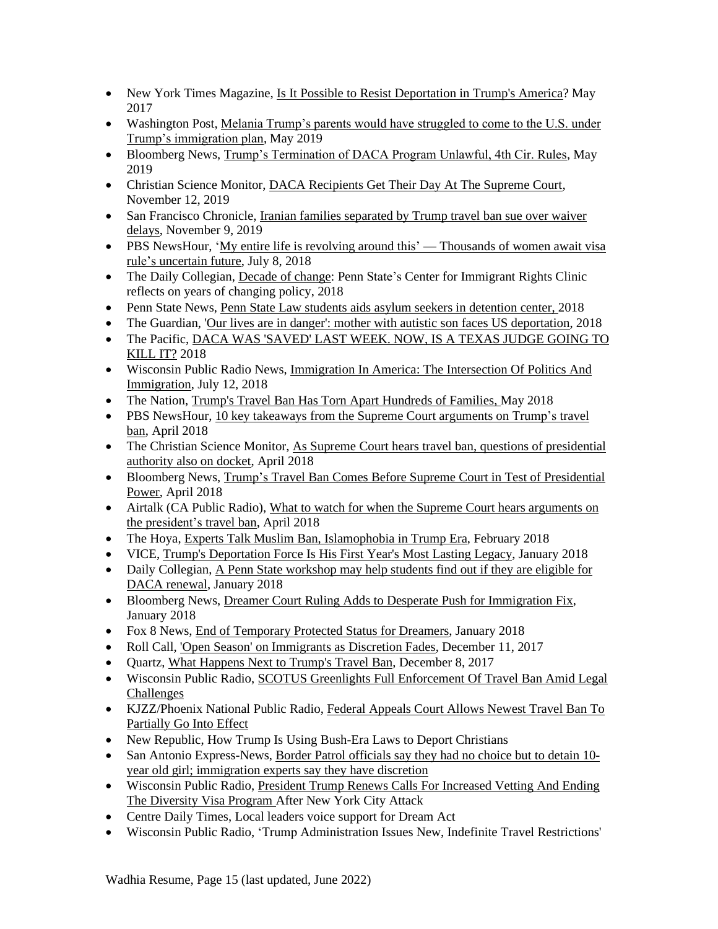- New York Times Magazine, [Is It Possible to Resist Deportation in Trump's America?](https://www.nytimes.com/2017/05/23/magazine/is-it-possible-to-resist-deportation-in-trumps-america.html) May 2017
- Washington Post, Melania Trump's parents would have struggled to come to the U.S. under [Trump's immigration plan,](https://www.washingtonpost.com/politics/melania-trumps-parents-would-have-struggled-to-come-to-the-us-under-trumps-immigration-plan/2019/05/16/bfb1ac7c-7825-11e9-b7ae-390de4259661_story.html?utm_term=.1b838b0c68b4) May 2019
- Bloomberg News, [Trump's Termination of DACA Program Unlawful, 4th Cir. Rules,](https://news.bloomberglaw.com/daily-labor-report/trumps-termination-of-daca-program-unlawful-4th-cir-rules) May 2019
- Christian Science Monitor, [DACA Recipients Get Their Day At The Supreme Court,](https://www.csmonitor.com/USA/Justice/2019/1112/DACA-recipients-get-their-day-at-the-Supreme-Court) November 12, 2019
- San Francisco Chronicle, Iranian families separated by Trump travel ban sue over waiver [delays,](https://www.sfchronicle.com/bayarea/article/Families-separated-by-Trump-travel-ban-several-14821630.php) November 9, 2019
- PBS NewsHour, 'My entire life is revolving around this' [Thousands](https://www.pbs.org/newshour/nation/h4-visa-h1b-work-permit-immigration-india) of women await visa rule's [uncertain](https://www.pbs.org/newshour/nation/h4-visa-h1b-work-permit-immigration-india) future, July 8, 2018
- The Daily Collegian, [Decade](https://www.collegian.psu.edu/news/campus/article_83250384-d015-11e8-9e09-3fc2b5383b5d.html) of change: Penn State's Center for Immigrant Rights Clinic reflects on years of changing policy, 2018
- Penn State News, Penn State Law students aids asylum seekers in [detention](https://news.psu.edu/story/541440/2018/10/12/impact/penn-state-law-students-aid-asylum-seekers-detention-center) center, 2018
- The Guardian, 'Our lives are in danger': mother with autistic son faces US [deportation,](https://www.theguardian.com/us-news/2018/sep/21/mother-deportation-us-el-salvador-son-autism-trump-immigration) 2018
- The Pacific, DACA WAS ['SAVED'](https://psmag.com/social-justice/daca-was-saved-last-week-now-is-a-texas-judge-going-to-kill-it) LAST WEEK. NOW, IS A TEXAS JUDGE GOING TO [KILL](https://psmag.com/social-justice/daca-was-saved-last-week-now-is-a-texas-judge-going-to-kill-it) IT? 2018
- Wisconsin Public Radio News, [Immigration](https://www.wpr.org/immigration-america-intersection-politics-and-immigration) In America: The Intersection Of Politics And [Immigration,](https://www.wpr.org/immigration-america-intersection-politics-and-immigration) July 12, 2018
- The Nation, Trump's Travel Ban Has Torn Apart [Hundreds](https://www.thenation.com/article/trumps-travel-ban-torn-apart-hundreds-families/) of Families, May 2018
- PBS NewsHour, 10 key takeaways from the Supreme Court [arguments](https://www.pbs.org/newshour/politics/10-key-takeaways-from-the-supreme-court-arguments-on-trumps-travel-ban) on Trump's travel [ban,](https://www.pbs.org/newshour/politics/10-key-takeaways-from-the-supreme-court-arguments-on-trumps-travel-ban) April 2018
- The Christian Science Monitor, As Supreme Court hears travel ban, questions of [presidential](https://www.csmonitor.com/USA/Justice/2018/0425/As-Supreme-Court-hears-travel-ban-questions-of-presidential-authority-also-on-docket) [authority](https://www.csmonitor.com/USA/Justice/2018/0425/As-Supreme-Court-hears-travel-ban-questions-of-presidential-authority-also-on-docket) also on docket, April 2018
- Bloomberg News, Trump's Travel Ban Comes Before Supreme Court in Test of [Presidential](https://www.bloomberg.com/news/articles/2018-04-23/trump-travel-ban-fight-at-high-court-to-test-presidential-power) [Power,](https://www.bloomberg.com/news/articles/2018-04-23/trump-travel-ban-fight-at-high-court-to-test-presidential-power) April 2018
- Airtalk (CA Public Radio), What to watch for when the Supreme Court hears [arguments](http://www.scpr.org/programs/airtalk/2018/04/24/62700/what-to-watch-for-when-the-supreme-court-hears-arg/) on the [president's](http://www.scpr.org/programs/airtalk/2018/04/24/62700/what-to-watch-for-when-the-supreme-court-hears-arg/) travel ban, April 2018
- The Hoya, Experts Talk Muslim Ban, [Islamophobia](https://bridge.georgetown.edu/external_article/experts-talk-muslim-ban-islamophobia-in-trump-era/) in Trump Era, February 2018
- VICE, Trump's [Deportation](https://www.vice.com/en_us/article/59wepz/trumps-deportation-force-is-his-first-years-most-lasting-legacy-trumpweek) Force Is His First Year's Most Lasting Legacy, January 2018
- Daily Collegian, A Penn State [workshop](http://www.collegian.psu.edu/news/campus/article_8b1ea0b4-017a-11e8-9779-87321e607614.html) may help students find out if they are eligible for DACA [renewal,](http://www.collegian.psu.edu/news/campus/article_8b1ea0b4-017a-11e8-9779-87321e607614.html) January 2018
- Bloomberg News, Dreamer Court Ruling Adds to Desperate Push for [Immigration](https://www.bloomberg.com/news/articles/2018-01-10/dreamer-court-ruling-adds-to-desperate-push-for-immigration-fix) Fix, January 2018
- Fox 8 News, End of [Temporary](http://www.fox8tv.com/News/NewsDetails.asp?NewsID=25118) Protected Status for Dreamers, January 2018
- Roll Call, 'Open Season' on [Immigrants](http://www.rollcall.com/news/politics/open-season-on-immigrants) as Discretion Fades, December 11, 2017
- Quartz, What [Happens](https://qz.com/1151587/trumps-travel-ban-appeal-what-happens-next/) Next to Trump's Travel Ban, December 8, 2017
- Wisconsin Public Radio, SCOTUS Greenlights Full [Enforcement](https://www.wpr.org/scotus-greenlights-full-enforcement-travel-ban-amid-legal-challenges) Of Travel Ban Amid Legal [Challenges](https://www.wpr.org/scotus-greenlights-full-enforcement-travel-ban-amid-legal-challenges)
- KJZZ/Phoenix National Public Radio, Federal [Appeals](http://theshow.kjzz.org/content/568153/federal-appeals-court-allows-newest-travel-ban-partially-go-effect) Court Allows Newest Travel Ban To [Partially](http://theshow.kjzz.org/content/568153/federal-appeals-court-allows-newest-travel-ban-partially-go-effect) Go Into Effect
- New Republic, How Trump Is Using Bush-Era Laws to Deport Christians
- San Antonio Express-News, Border Patrol [officials](https://www.google.com/url?sa=t&rct=j&q=&esrc=s&source=newssearch&cd=4&cad=rja&uact=8&ved=0ahUKEwiLkr_usqjXAhXF5CYKHSOzCToQqQIIMigAMAM&url=http%3A%2F%2Fwww.expressnews.com%2Fnews%2Flocal%2Farticle%2FBorder-Patrol-officials-say-they-had-no-choice-12330896.php&usg=AOvVaw2vXeWiUqQkVCMVaRsVpjDz) say they had no choice but to detain 10year old girl; [immigration](https://www.google.com/url?sa=t&rct=j&q=&esrc=s&source=newssearch&cd=4&cad=rja&uact=8&ved=0ahUKEwiLkr_usqjXAhXF5CYKHSOzCToQqQIIMigAMAM&url=http%3A%2F%2Fwww.expressnews.com%2Fnews%2Flocal%2Farticle%2FBorder-Patrol-officials-say-they-had-no-choice-12330896.php&usg=AOvVaw2vXeWiUqQkVCMVaRsVpjDz) experts say they have discretion
- Wisconsin Public Radio, President Trump Renews Calls For [Increased](https://www.wpr.org/president-trump-renews-calls-increased-vetting-and-ending-diversity-visa-program-after-new-york-city) Vetting And Ending The [Diversity](https://www.wpr.org/president-trump-renews-calls-increased-vetting-and-ending-diversity-visa-program-after-new-york-city) Visa Program After New York City Attack
- Centre Daily Times, Local leaders voice support for Dream Act
- Wisconsin Public Radio, 'Trump Administration Issues New, Indefinite Travel Restrictions'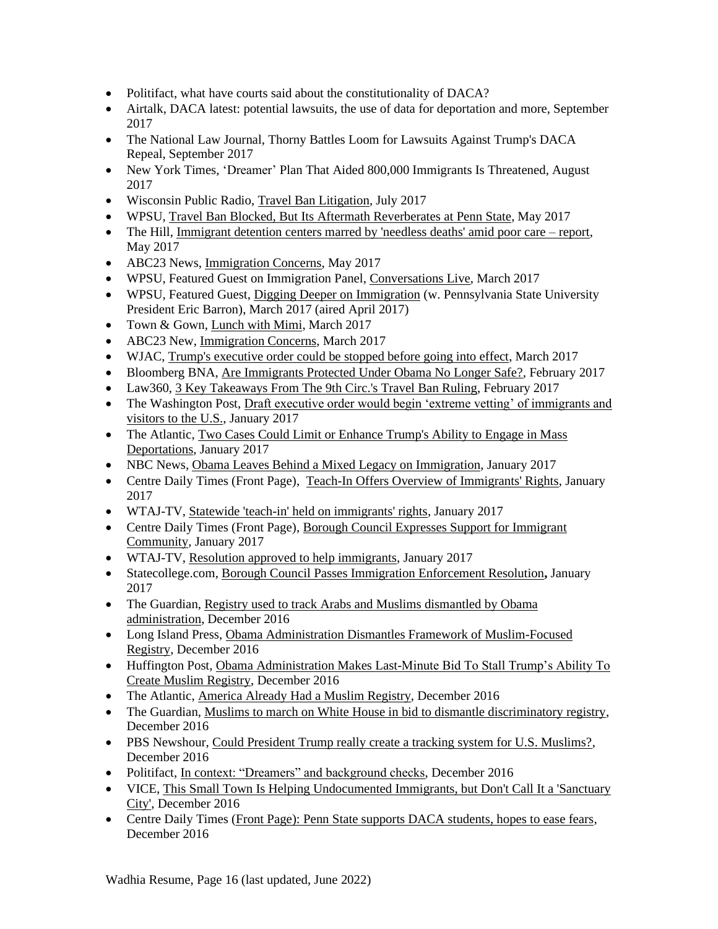- Politifact, what have courts said about the constitutionality of DACA?
- Airtalk, DACA latest: potential lawsuits, the use of data for deportation and more, September 2017
- The National Law Journal, Thorny Battles Loom for Lawsuits Against Trump's DACA Repeal, September 2017
- New York Times, 'Dreamer' Plan That Aided 800,000 Immigrants Is Threatened, August 2017
- Wisconsin Public Radio, [Travel Ban Litigation,](https://www.wpr.org/supreme-court-exempts-grandparents-travel-ban-refugees-still-denied-access) July 2017
- WPSU, Travel Ban Blocked, But Its Aftermath Reverberates at Penn State, May 2017
- The Hill, [Immigrant detention centers marred by 'needless deaths' amid poor care –](http://thehill.com/blogs/pundits-blog/crime/334076-the-cruel-but-usual-conditions-inside-two-georgia-immigration) report, May 2017
- ABC23 News, [Immigration Concerns,](http://www.abc23.com/News/NewsDetails.asp?NewsID=22772) May 2017
- WPSU, Featured Guest on Immigration Panel, [Conversations Live,](http://wpsu.psu.edu/tv/programs/conversationslive/immigration/) March 2017
- WPSU, Featured Guest, [Digging Deeper on Immigration](http://news.psu.edu/story/458025/2017/03/27/arts-and-entertainment/barron-welcome-immigration-law-expert-during-next) (w. Pennsylvania State University President Eric Barron), March 2017 (aired April 2017)
- Town & Gown, [Lunch with Mimi,](http://www.statecollege.com/news/5-questions/lunch-with-mimi-shoba-sivaprasad-wadhia,1471331/) March 2017
- ABC23 New, [Immigration Concerns,](http://www.abc23.com/News/NewsDetails.asp?NewsID=22428) March 2017
- WJAC, [Trump's executive order could be stopped before going into effect,](http://wjactv.com/news/local/trumps-executive-order-could-be-stopped-before-going-into-effect) March 2017
- Bloomberg BNA, [Are Immigrants Protected Under Obama No Longer Safe?,](https://www.bna.com/immigrants-protected-obama-n57982083900/) February 2017
- Law360, [3 Key Takeaways From The 9th Circ.'s Travel Ban Ruling,](https://www.law360.com/articles/890848/3-key-takeaways-from-the-9th-circ-s-travel-ban-ruling) February 2017
- The Washington Post, Draft executive order would begin 'extreme vetting' of immigrants and [visitors to the U.S.,](https://www.washingtonpost.com/world/national-security/draft-executive-order-would-begin-extreme-vetting-of-immigrants-and-visitors-to-the-us/2017/01/25/17a27424-e328-11e6-a547-5fb9411d332c_story.html?utm_term=.6c2f67ead8ad) January 2017
- The Atlantic, Two Cases Could Limit or Enhance Trump's Ability to Engage in Mass [Deportations,](https://www.theatlantic.com/politics/archive/2017/01/two-cases-could-limit-or-enhance-trumps-ability-to-engage-in-mass-deportations/513407/) January 2017
- NBC News, [Obama Leaves Behind a Mixed Legacy on Immigration,](http://www.nbcnews.com/storyline/president-obama-the-legacy/obama-leaves-behind-mixed-legacy-immigration-n703656) January 2017
- Centre Daily Times (Front Page), [Teach-In Offers Overview of Immigrants' Rights,](http://www.centredaily.com/news/local/education/penn-state/article126289289.html) January 2017
- WTAJ-TV, [Statewide 'teach-in' held on immigrants' rights,](http://www.wearecentralpa.com/news/statewide-teach-in-held-on-immigrants-rights/640119338) January 2017
- Centre Daily Times (Front Page), Borough Council Expresses Support for Immigrant [Community,](http://www.centredaily.com/news/local/community/state-college/article125557729.html) January 2017
- WTAJ-TV, [Resolution approved to help immigrants,](http://www.wearecentralpa.com/news/resolution-approved-to-help-immigrants/637914525) January 2017
- Statecollege.com, [Borough Council Passes Immigration Enforcement Resolution](http://www.statecollege.com/news/local-news/borough-council-passes-immigration-enforcement-resolution,1470680/)**,** January 2017
- The Guardian, Registry used to track Arabs and Muslims dismantled by Obama administration, December 2016
- Long Island Press, [Obama Administration Dismantles Framework of Muslim-Focused](https://www.longislandpress.com/2016/12/22/obama-administration-dismantles-framework-of-muslim-focused-registry/)  [Registry,](https://www.longislandpress.com/2016/12/22/obama-administration-dismantles-framework-of-muslim-focused-registry/) December 2016
- Huffington Post, Obama Administration Makes Last-Minute Bid To Stall Trump's Ability To [Create Muslim Registry,](http://www.huffingtonpost.com/entry/obama-rescinds-nseers-trump-registry_us_585bf2b7e4b0d9a594574d6b) December 2016
- The Atlantic, [America Already Had a Muslim Registry,](https://www.theatlantic.com/technology/archive/2016/12/america-already-had-a-muslim-registry/511214/) December 2016
- The Guardian, [Muslims to march on White House in bid to dismantle discriminatory registry,](https://www.theguardian.com/us-news/2016/dec/12/american-muslims-march-white-house-nseers) December 2016
- PBS Newshour, [Could President Trump really create a tracking system for U.S. Muslims?,](http://www.pbs.org/newshour/updates/president-trump-really-create-tracking-system-u-s-muslims/) December 2016
- Politifact, [In context: "Dreamers" and background checks,](http://www.politifact.com/truth-o-meter/article/2016/dec/12/context-dreamers-and-background-checks/) December 2016
- VICE, [This Small Town Is Helping Undocumented Immigrants, but Don't Call It a 'Sanctuary](https://www.vice.com/en_us/article/sanctuary-cities-complicated-politics-small-towns)' [City',](https://www.vice.com/en_us/article/sanctuary-cities-complicated-politics-small-towns) December 2016
- Centre Daily Times (Front Page): [Penn State supports DACA students, hopes to ease fears,](http://www.centredaily.com/news/local/education/penn-state/article118616648.html) December 2016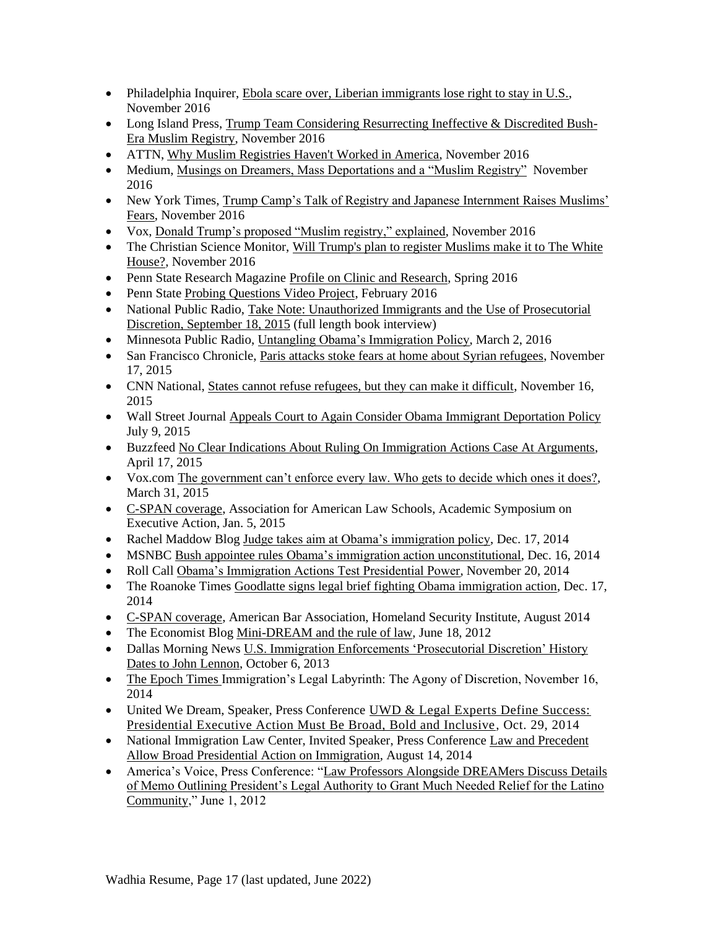- Philadelphia Inquirer[, Ebola scare over, Liberian immigrants lose right to stay in U.S.,](http://www.philly.com/philly/news/20161128_Ebola_scare_over__Liberian_immigrants_lose_right_to_stay_in_U_S_.html) November 2016
- Long Island Press, [Trump Team Considering Resurrecting Ineffective & Discredited Bush-](https://www.longislandpress.com/2016/11/26/trump-team-considering-resurrecting-ineffective-discredited-bush-era-muslim-registry/)[Era Muslim Registry, November 2016](https://www.longislandpress.com/2016/11/26/trump-team-considering-resurrecting-ineffective-discredited-bush-era-muslim-registry/)
- ATTN, [Why Muslim Registries Haven't Worked in America,](http://www.attn.com/stories/13052/why-muslim-registries-havent-worked-america) November 2016
- Medium, [Musings on Dreamers, Mass Deportations and a "Muslim Registry"](https://medium.com/@shobawadhia/musings-on-dreamers-mass-deportations-and-a-muslim-registry-78dc37e44527#.oo73vjr9h) November 2016
- New York Times, Trump Camp's Talk of Registry and Japanese Internment Raises Muslims' [Fears,](http://www.nytimes.com/2016/11/18/us/politics/japanese-internment-muslim-registry.html?_r=2) November 2016
- Vox, [Donald Trump's proposed "Muslim registry," explained,](http://www.vox.com/policy-and-politics/2016/11/16/13649764/trump-muslim-register-database) November 2016
- The Christian Science Monitor, Will Trump's plan to register Muslims make it to The White [House?,](http://www.csmonitor.com/USA/2016/1120/Will-Trump-s-plan-to-register-Muslims-make-it-to-The-White-House) November 2016
- Penn State Research Magazin[e Profile on Clinic and Research,](https://issuu.com/exn119/docs/rps_spring2016?e=9518541/35492332) Spring 2016
- Penn State [Probing Questions Video Project,](http://news.psu.edu/video/391823/2016/02/10/research/probing-question-video-it-legal-or-practical-bar-immigrants-based) February 2016
- National Public Radio, Take Note: Unauthorized Immigrants and the Use of Prosecutorial [Discretion, September 18,](file:///C:/Users/Shoba%20Wadhia/AppData/Local/Microsoft/Windows/INetCache/Content.Outlook/IR1C2CIW/post) 2015 (full length book interview)
- Minnesota Public Radio, [Untangling Obama's Immigration Policy,](http://www.mprnews.org/story/2016/03/02/deportation) March 2, 2016
- San Francisco Chronicle, [Paris attacks stoke fears at home about Syrian refugees,](http://www.sfgate.com/bayarea/article/Paris-attacks-stoke-fears-at-home-over-Syrian-6639487.php) November 17, 2015
- CNN National, [States cannot refuse refugees, but they can make it difficult,](http://www.cnn.com/2015/11/16/politics/refugee-states-governors-syria/index.html) November 16, 2015
- Wall Street Journal [Appeals Court to Again Consider Obama Immigrant Deportation Policy](http://www.wsj.com/articles/appeals-court-to-again-consider-obama-immigrant-deportation-policy-1436465238) July 9, 2015
- Buzzfeed [No Clear Indications About Ruling On Immigration Actions Case At Arguments,](http://www.buzzfeed.com/johnstanton/no-clear-indications-about-ruling-on-immigration-actions-cas#.oml05YBGR) April 17, 2015
- Vox.com [The government can't enforce every law. Who gets to decide which ones it does?,](http://www.vox.com/2015/3/31/8306311/prosecutorial-discretion) March 31, 2015
- [C-SPAN coverage,](http://www.c-span.org/video/?323544-3/discussion-executive-action-immigration) Association for American Law Schools, Academic Symposium on Executive Action, Jan. 5, 2015
- Rachel Maddow Blog [Judge takes aim at Obama's immigration policy,](http://www.msnbc.com/rachel-maddow-show/judge-takes-aim-obamas-immigration-policy) Dec. 17, 2014
- MSNBC Bush appointee rules [Obama's immigration action unconstitutional,](http://www.msnbc.com/msnbc/bush-appointee-rules-obamas-immigration-action-unconstitutional) Dec. 16, 2014
- Roll Call [Obama's Immigration Actions Test Presidential Power,](http://www.rollcall.com/news/obamas_immigration_actions_test_presidential_power-238142-1.html) November 20, 2014
- The Roanoke Times [Goodlatte signs legal brief fighting Obama immigration action,](http://www.roanoke.com/news/virginia/goodlatte-signs-legal-brief-fighting-obama-immigration-action/article_6c633293-d286-5df7-bdf5-bf51d4a0749f.html) Dec. 17, 2014
- [C-SPAN coverage,](file://///dsl.edu/facultysec/Facultysec-up/Lombardo/Clinic%20Professors/Wadhia/CV/•%09http:/www.c-span.org/video/%3f321116-6/discussion-immigration-law-executive-power) American Bar Association, Homeland Security Institute, August 2014
- The Economist Blog [Mini-DREAM and the rule of law,](http://www.economist.com/blogs/democracyinamerica/2012/06/executive-discretion) June 18, 2012
- Dallas Morning News U.S. Immigration Enforcements 'Prosecutorial Discretion' History [Dates to John Lennon,](http://www.dallasnews.com/news/metro/20131006-u.s.-immigration-enforcements-prosecutorial-discretion-history-dates-back-to-john-lennon.ece) October 6, 2013
- [The Epoch Times I](http://www.theepochtimes.com/n3/1084752-immigrations-legal-labyrinthe-the-agony-of-discretion/)mmigration's Legal Labyrinth: The Agony of Discretion, November 16, 2014
- United We Dream, Speaker, Press Conference UWD & Legal Experts Define Success: [Presidential Executive Action Must Be Broad, Bold and Inclusive,](http://unitedwedream.org/press-releases/uwd-legal-experts-define-success-presidential-executive-action-must-broad-bold-inclusive/) Oct. 29, 2014
- National Immigration Law Center, Invited Speaker, Press Conference Law and Precedent [Allow Broad Presidential Action on Immigration,](http://www.nilc.org/nr081314.html) August 14, 2014
- America's Voice, Press Conference: "Law Professors Alongside DREAMers Discuss Details [of Memo Outlining President's Legal Authority to Grant Much Needed Relief for the Latino](http://act.americasvoiceonline.org/page/-/americasvoice/audio/DREAM%20060112.mp3)  [Community,](http://act.americasvoiceonline.org/page/-/americasvoice/audio/DREAM%20060112.mp3)" June 1, 2012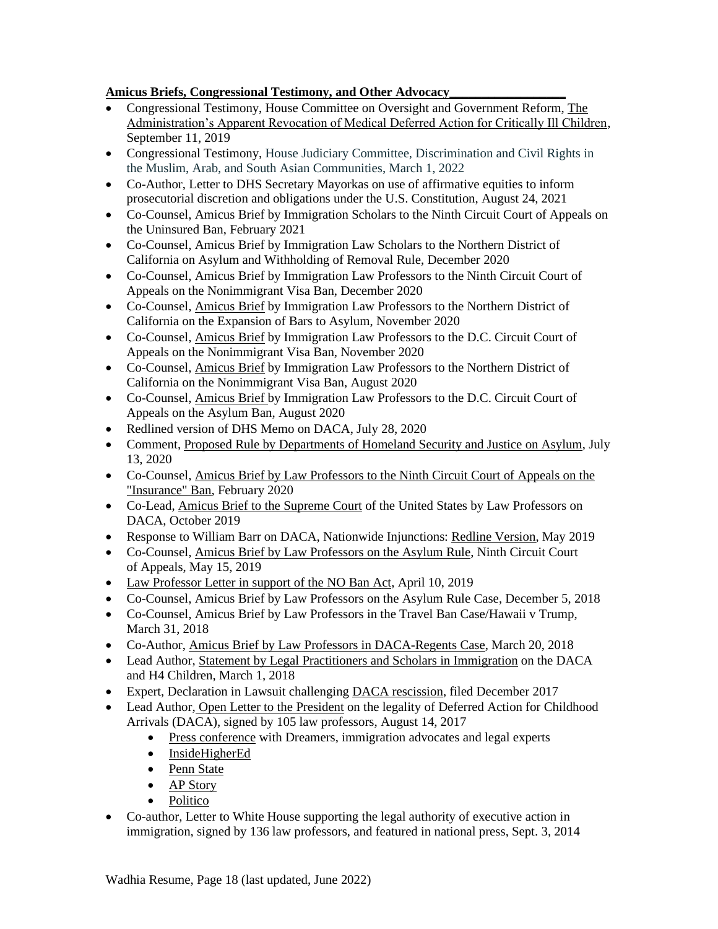### **Amicus Briefs, Congressional Testimony, and Other Advocacy\_\_\_\_\_\_\_\_\_\_\_\_\_\_\_\_\_\_**

- Congressional Testimony, House Committee on Oversight and Government Reform, [The](https://oversight.house.gov/legislation/hearings/the-administration-s-apparent-revocation-of-medical-deferred-action-for)  [Administration's Apparent Revocation of Medical Deferred Action for Critically Ill Children,](https://oversight.house.gov/legislation/hearings/the-administration-s-apparent-revocation-of-medical-deferred-action-for) September 11, 2019
- Congressional Testimony, House Judiciary Committee, Discrimination and Civil Rights in the Muslim, Arab, and South Asian Communities, March 1, 2022
- Co-Author, Letter to DHS Secretary Mayorkas on use of affirmative equities to inform prosecutorial discretion and obligations under the U.S. Constitution, August 24, 2021
- Co-Counsel, Amicus Brief by [Immigration](https://53dfb3eb-5e7d-464c-87ed-33d8164eb4b0.filesusr.com/ugd/6e1c09_844d987dc1a54c629f86beefecc181ae.pdf) Scholars to the Ninth Circuit Court of Appeals on the Uninsured Ban, February 2021
- Co-Counsel, Amicus Brief by Immigration Law Scholars to the Northern District of California on Asylum and Withholding of Removal Rule, December 2020
- Co-Counsel, Amicus Brief by Immigration Law Professors to the Ninth Circuit Court of Appeals on the Nonimmigrant Visa Ban, December 2020
- Co-Counsel, [Amicus](https://53dfb3eb-5e7d-464c-87ed-33d8164eb4b0.filesusr.com/ugd/6e1c09_950945413f2c44409210e48a5314d574.pdf) Brief by Immigration Law Professors to the Northern District of California on the Expansion of Bars to Asylum, November 2020
- Co-Counsel, [Amicus](https://53dfb3eb-5e7d-464c-87ed-33d8164eb4b0.filesusr.com/ugd/6e1c09_c05c492de2f24ca8b86ee0093a999eb1.pdf) Brief by Immigration Law Professors to the D.C. Circuit Court of Appeals on the Nonimmigrant Visa Ban, November 2020
- Co-Counsel, [Amicus](https://53dfb3eb-5e7d-464c-87ed-33d8164eb4b0.filesusr.com/ugd/6e1c09_d0acf4c04fdd4f97a4fe9fb3b4ba0499.pdf) Brief by Immigration Law Professors to the Northern District of California on the Nonimmigrant Visa Ban, August 2020
- Co-Counsel, [Amicus](https://53dfb3eb-5e7d-464c-87ed-33d8164eb4b0.filesusr.com/ugd/6e1c09_86f159e9f649400999db1b8393964fe8.pdf) Brief by Immigration Law Professors to the D.C. Circuit Court of Appeals on the Asylum Ban, August 2020
- [Redlined](https://53dfb3eb-5e7d-464c-87ed-33d8164eb4b0.filesusr.com/ugd/6e1c09_c2620d8050404dbca9d2c7a4cddf83ef.pdf) version of DHS Memo on DACA, July 28, 2020
- Comment, Proposed Rule by [Departments](https://53dfb3eb-5e7d-464c-87ed-33d8164eb4b0.filesusr.com/ugd/6e1c09_1ad7adda9b4c4183a91d3378448fac81.docx?dn=AsylumRuleComments.docx) of Homeland Security and Justice on Asylum, July 13, 2020
- Co-Counsel, Amicus Brief by Law [Professors](https://53dfb3eb-5e7d-464c-87ed-33d8164eb4b0.filesusr.com/ugd/6e1c09_b84c7e78406b4966aef54c67e5d9638d.pdf) to the Ninth Circuit Court of Appeals on the ["Insurance"](https://53dfb3eb-5e7d-464c-87ed-33d8164eb4b0.filesusr.com/ugd/6e1c09_b84c7e78406b4966aef54c67e5d9638d.pdf) Ban, February 2020
- Co-Lead, Amicus Brief to the [Supreme](https://medium.com/@shobaswadhia/daca-at-the-supreme-court-immigration-law-scholars-brief-a0eee21c7924) Court of the United States by Law Professors on DACA, October 2019
- Response to William Barr on DACA, Nationwide Injunctions: Redline [Version,](https://docs.wixstatic.com/ugd/6e1c09_fdca0482f96d4823950cdbd2161efc0e.pdf) May 2019
- Co-Counsel, Amicus Brief by Law [Professors](https://docs.wixstatic.com/ugd/6e1c09_b587927faaf14ce3892e57e6e06d0ac6.pdf) on the Asylum Rule, Ninth Circuit Court of Appeals, May 15, 2019
- Law [Professor](https://pennstatelaw.psu.edu/sites/default/files/LawProfessorLetterNOBANActFinal.pdf) Letter in support of the NO Ban Act, April 10, 2019
- Co-Counsel, Amicus Brief by Law Professors on the Asylum Rule Case, December 5, 2018
- Co-Counsel, Amicus Brief by Law Professors in the Travel Ban Case/Hawaii v Trump, March 31, 2018
- Co-Author, Amicus Brief by Law Professors in [DACA-Regents](https://docs.wixstatic.com/ugd/6e1c09_b606dbd69cda4b249483c682f300ccef.pdf) Case, March 20, 2018
- Lead Author, [St](https://docs.wixstatic.com/ugd/6e1c09_3ce1a236b4f742dd88ab115ec2a44043.pdf)atement by Legal [Practitioners](https://docs.wixstatic.com/ugd/6e1c09_3ce1a236b4f742dd88ab115ec2a44043.pdf) and Scholars in Immigration on the DACA and H4 Children, March 1, 2018
- Expert, Declaration in Lawsuit challenging DACA [rescission,](https://docs.wixstatic.com/ugd/6e1c09_619f37308a3a4263bd5a22a8e00f2bbe.pdf) filed December 2017
- Lead Author, Open Letter to the President on the legality of Deferred Action for Childhood Arrivals (DACA), signed by 105 law professors, August 14, 2017
	- Press [conference](http://americasvoice.org/press_releases/dreamers-immigration-advocates-legal-experts-celebrate-fifth-anniversary-daca-outline-next-steps-fight/) with Dreamers, immigration advocates and legal experts
	- [InsideHigherEd](https://www.insidehighered.com/quicktakes/2017/08/14/law-professors-%E2%80%98no-question%E2%80%99-daca-legal#.WZGDsq3LoSo.mailto)
	- [Penn](http://news.psu.edu/story/477497/2017/08/14/academics/professor-wadhia-co-authors-letter-trump-legality-daca) State
	- AP [Story](https://www.apnews.com/d735ce0ca2e648659fc50a6193ed7cbd/Law-scholars-urge-Trump-to-keep-program-for-young-immigrants)
	- [Politico](http://www.politico.com/tipsheets/morning-education/2017/08/14/va-warned-arizona-state-regulators-over-for-profit-college-approval-221857)
- Co-author, Letter to White House supporting the legal authority of executive action in immigration, signed by 136 law professors, and featured in national press, Sept. 3, 2014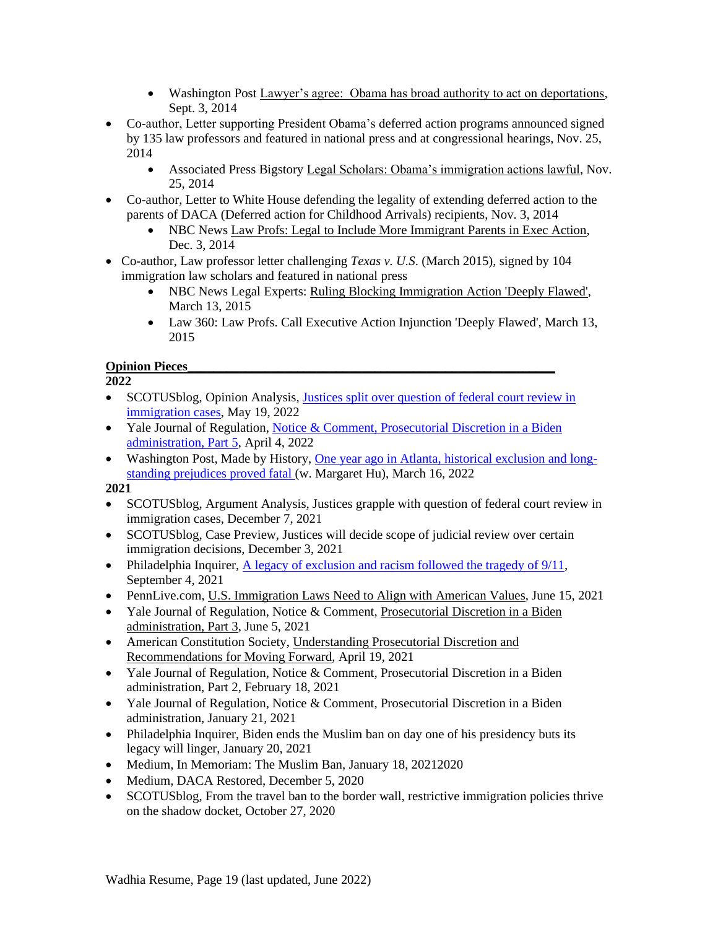- Washington Post [Lawyer's agree: Obama has broad authority to act on deportations,](http://www.washingtonpost.com/blogs/plum-line/wp/2014/09/03/lawyers-agree-obama-has-broad-authority-to-act-on-deportations/) Sept. 3, 2014
- Co-author, Letter supporting President Obama's deferred action programs announced signed by 135 law professors and featured in national press and at congressional hearings, Nov. 25, 2014
	- Associated Press Bigstory [Legal Scholars: Obama's immigration actions lawful,](http://bigstory.ap.org/article/c957a284aaa748dfba47ece9ce2712c1/legal-scholars-obamas-immigration-actions-lawful) Nov. 25, 2014
- Co-author, Letter to White House defending the legality of extending deferred action to the parents of DACA (Deferred action for Childhood Arrivals) recipients, Nov. 3, 2014
	- NBC News Law Profs: Legal to [Include More Immigrant Parents in](http://www.nbcnews.com/storyline/immigration-reform/law-profs-legal-include-more-immigrant-parents-exec-action-n260551) Exec Action, Dec. 3, 2014
- Co-author, Law professor letter challenging *Texas v. U.S*. (March 2015), signed by 104 immigration law scholars and featured in national press
	- NBC News Legal Experts: [Ruling Blocking Immigration Action 'Deeply Flawed',](http://www.nbcnews.com/news/latino/experts-texas-judges-immigration-action-ruling-deeply-flawed-n322751) March 13, 2015
	- Law 360: Law Profs. Call Executive Action Injunction 'Deeply Flawed', March 13, 2015

# **Opinion Pieces\_\_\_\_\_\_\_\_\_\_\_\_\_\_\_\_\_\_\_\_\_\_\_\_\_\_\_\_\_\_\_\_\_\_\_\_\_\_\_\_\_\_\_\_\_\_\_\_\_\_\_\_\_\_\_\_\_**

**2022**

- SCOTUS blog, Opinion Analysis, Justices split over [question](https://www.scotusblog.com/2022/05/justices-split-over-question-of-federal-court-review-in-immigration-cases/) of federal court review in [immigration](https://www.scotusblog.com/2022/05/justices-split-over-question-of-federal-court-review-in-immigration-cases/) cases, May 19, 2022
- Yale Journal of Regulation, Notice & Comment, [Prosecutorial](https://www.yalejreg.com/nc/prosecutorial-discretion-in-the-biden-administration-part-5-by-shoba-sivaprasad-wadhia/) Discretion in a Biden [administration,](https://www.yalejreg.com/nc/prosecutorial-discretion-in-the-biden-administration-part-5-by-shoba-sivaprasad-wadhia/) Part 5, April 4, 2022
- Washington Post, Made by History, One year ago in Atlanta, historical [exclusion](https://www.washingtonpost.com/outlook/2022/03/16/one-year-ago-atlanta-historical-exclusion-long-standing-prejudices-proved-fatal/) and longstanding [prejudices](https://www.washingtonpost.com/outlook/2022/03/16/one-year-ago-atlanta-historical-exclusion-long-standing-prejudices-proved-fatal/) proved fatal (w. Margaret Hu), March 16, 2022

- SCOTUS blog, Argument Analysis, Justices grapple with question of federal court review in immigration cases, December 7, 2021
- SCOTUS blog, Case Preview, Justices will decide scope of judicial review over certain immigration decisions, December 3, 2021
- Philadelphia Inquirer, A legacy of exclusion and racism followed the tragedy of  $9/11$ , September 4, 2021
- PennLive.com, U.S. [Immigration](https://www.pennlive.com/opinion/2021/06/us-immigration-laws-need-to-align-with-american-values-opinion.html) Laws Need to Align with American Values, June 15, 2021
- Yale Journal of Regulation, Notice & Comment, [Prosecutorial](https://www.yalejreg.com/nc/prosecutorial-discretion-in-the-biden-administration-part-3-by-shoba-sivaprasad-wadhia/) Discretion in a Biden [administration,](https://www.yalejreg.com/nc/prosecutorial-discretion-in-the-biden-administration-part-3-by-shoba-sivaprasad-wadhia/) Part 3, June 5, 2021
- American Constitution Society, [Understanding](https://www.acslaw.org/expertforum/understanding-prosecutorial-discretion-in-immigration-policy-and-recommendations-for-moving-forward/) Prosecutorial Discretion and [Recommendations](https://www.acslaw.org/expertforum/understanding-prosecutorial-discretion-in-immigration-policy-and-recommendations-for-moving-forward/) for Moving Forward, April 19, 2021
- Yale Journal of Regulation, Notice & Comment, Prosecutorial Discretion in a Biden administration, Part 2, February 18, 2021
- Yale Journal of Regulation, Notice & Comment, Prosecutorial Discretion in a Biden administration, January 21, 2021
- Philadelphia Inquirer, Biden ends the Muslim ban on day one of his presidency buts its legacy will linger, January 20, 2021
- Medium, In Memoriam: The Muslim Ban, January 18, 20212020
- Medium, DACA Restored, December 5, 2020
- SCOTUS blog, From the travel ban to the border wall, restrictive immigration policies thrive on the shadow docket, October 27, 2020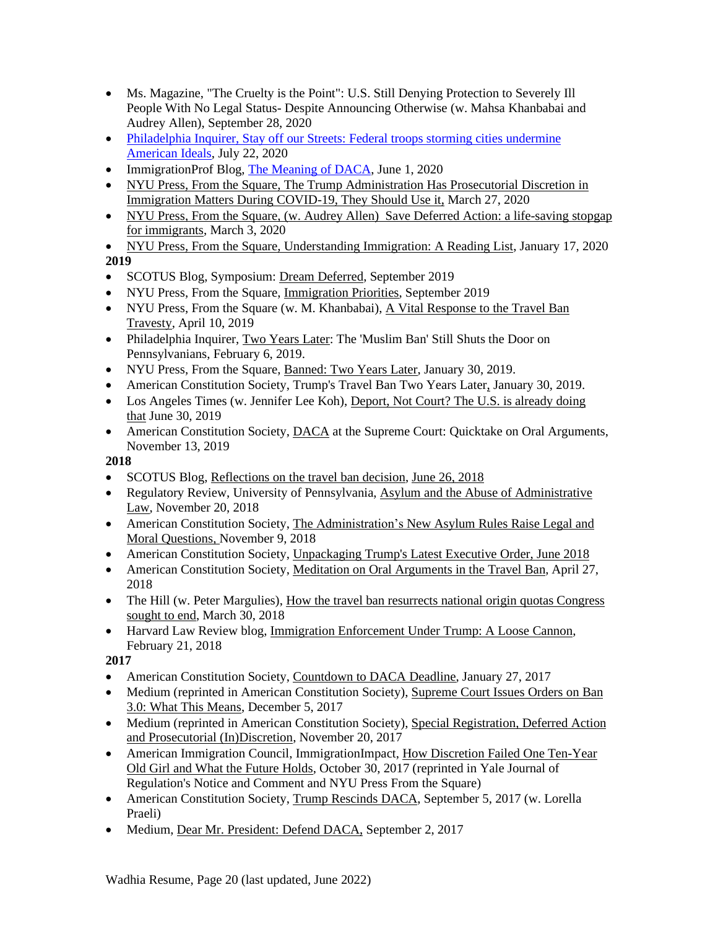- Ms. Magazine, "The Cruelty is the Point": U.S. Still Denying Protection to Severely Ill People With No Legal Status- Despite Announcing Otherwise (w. Mahsa Khanbabai and Audrey Allen), September 28, 2020
- [Philadelphia](https://www.inquirer.com/opinion/commentary/trump-federal-agents-philadelphia-homeland-security-immigration-customs-enforcement-20200722.html) Inquirer, Stay off our Streets: Federal troops storming cities undermine [American](https://www.inquirer.com/opinion/commentary/trump-federal-agents-philadelphia-homeland-security-immigration-customs-enforcement-20200722.html) Ideals, July 22, 2020
- ImmigrationProf Blog, The [Meaning](https://lawprofessors.typepad.com/immigration/2020/06/the-meaning-of-daca-by-kevin-r-johnson-michael-a-olivas-and-shoba-sivaprasad-wadhia-.html) of DACA, June 1, 2020
- NYU Press, From the [Square,](https://www.fromthesquare.org/prosecutorial-discretion-during-covid-19/) The Trump [Administration](https://www.fromthesquare.org/prosecutorial-discretion-during-covid-19/) Has Prosecutorial Discretion in [Immigration](https://www.fromthesquare.org/prosecutorial-discretion-during-covid-19/) Matters During COVID-19, They Should Use it[,](https://www.fromthesquare.org/prosecutorial-discretion-during-covid-19/) March 27, 2020
- NYU Press, From the [Square,](https://www.fromthesquare.org/save-deferred-action-a-life-saving-stopgap-for-immigrants/) (w. [Audrey](https://www.fromthesquare.org/save-deferred-action-a-life-saving-stopgap-for-immigrants/) Allen) [S](https://www.fromthesquare.org/save-deferred-action-a-life-saving-stopgap-for-immigrants/)ave Deferred Action: a [life-saving](https://www.fromthesquare.org/save-deferred-action-a-life-saving-stopgap-for-immigrants/) stopgap for [immigrants,](https://www.fromthesquare.org/save-deferred-action-a-life-saving-stopgap-for-immigrants/) March 3, 2020
- NYU Press, From the [Square,](https://www.fromthesquare.org/understanding-immigration-a-reading-list/) [Understanding](https://www.fromthesquare.org/understanding-immigration-a-reading-list/) Immigration: A Reading List, January 17, 2020 **2019**
- SCOTUS Blog, Symposium: Dream [Deferred,](https://www.fromthesquare.org/immigration-priorities/#.XY6JpkZKg2w) September 2019
- NYU Press[,](https://www.fromthesquare.org/immigration-priorities/#.XY6JpkZKg2w) From the Square, [Immigration](https://www.fromthesquare.org/immigration-priorities/#.XY6JpkZKg2w) Priorities, September 2019
- NYU Press, From the Square (w. M. Khanbabai), A Vital [Response](https://www.fromthesquare.org/a-vital-response-to-the-travel-ban-travesty/#.XMDLSOhKg2w) to the Travel Ban [Travesty,](https://www.fromthesquare.org/a-vital-response-to-the-travel-ban-travesty/#.XMDLSOhKg2w) April 10, 2019
- Philadelphia Inquirer, Two [Years](https://www.philly.com/opinion/commentary/travel-ban-pennsylvania-supreme-court-20190206.html) Later: The 'Muslim Ban' Still Shuts the Door on Pennsylvanians, February 6, 2019.
- NYU Press, From the Square, [Banned:](https://www.fromthesquare.org/banned-two-years-later/#.XFHbe1xKg2w) Two Years Later, January 30, 2019.
- American Constitution Society, [Trump's](https://www.acslaw.org/acsblog/trumps-travel-ban-two-years-later/) Travel Ban Two Years Later, January 30, 2019.
- Los Angeles Times (w. Jennifer Lee Koh), [Deport,](http://www.latimes.com/opinion/op-ed/la-oe-koh-wadhia-deportations-20180630-story.html) Not Court? The U.S. is already doing [that](http://www.latimes.com/opinion/op-ed/la-oe-koh-wadhia-deportations-20180630-story.html) June 30, 2019
- American Constitution Society, [DACA](https://www.acslaw.org/expertforum/daca-at-the-supreme-court-quicktake-on-oral-arguments/) at the Supreme Court: Quicktake on Oral Arguments, November 13, 2019

- SCOTUS Blog, [Reflections](http://www.scotusblog.com/2018/06/symposium-reflections-on-the-travel-ban-decision/) on the travel ban decision, June 26, [2018](http://www.scotusblog.com/2018/06/symposium-reflections-on-the-travel-ban-decision/)
- Regulatory Review, University of Pennsylvania, Asylum and the Abuse of [Administrative](https://www.theregreview.org/2018/11/20/wadhia-asylum-abuse-administrative-law/) [Law,](https://www.theregreview.org/2018/11/20/wadhia-asylum-abuse-administrative-law/) November 20, 2018
- American Constitution Society, The [Administration's](https://www.acslaw.org/acsblog/the-administrations-new-asylum-rules-raise-legal-and-moral-questions/) New Asylum Rules Raise Legal and Moral [Questions,](https://www.acslaw.org/acsblog/the-administrations-new-asylum-rules-raise-legal-and-moral-questions/) [November](https://www.acslaw.org/acsblog/the-administrations-new-asylum-rules-raise-legal-and-moral-questions/) 9, 2018
- American Constitution Society, [Unpackaging](https://www.acslaw.org/acsblog/unpacking-president-trump%E2%80%99s-latest-executive-order) Trump's Latest Executive Orde[r,](https://www.acslaw.org/acsblog/unpacking-president-trump%E2%80%99s-latest-executive-order) June [2018](https://www.acslaw.org/acsblog/unpacking-president-trump%E2%80%99s-latest-executive-order)
- American Constitution Society, Meditation on Oral [Arguments](https://www.acslaw.org/acsblog/meditation-on-oral-arguments-in-the-travel-ban-case) in the Travel Ban, April 27, 2018
- The Hill (w. Peter Margulies), How the travel ban [resurrects](http://thehill.com/blogs/congress-blog/homeland-security/381002-how-the-travel-ban-resurrects-national-origin-quotas) national origin quotas Congress [sought](http://thehill.com/blogs/congress-blog/homeland-security/381002-how-the-travel-ban-resurrects-national-origin-quotas) to end, March 30, 2018
- Harvard Law Review blog, Immigration [Enforcement](https://blog.harvardlawreview.org/immigration-enforcement-under-trump-a-loose-cannon/) Under Trump: A Loose Cannon, February 21, 2018

- American Constitution Society, [Countdown](https://www.acslaw.org/acsblog/countdown-to-daca-deadline) to DACA Deadline, January 27, 2017
- Medium (reprinted in American Constitution Society), [Supreme](https://medium.com/@shobawadhia/supreme-court-issues-orders-on-ban-3-0-what-this-means-db7c8e83c04c) Court Issues Orders on Ban 3.0: What This [Means,](https://medium.com/@shobawadhia/supreme-court-issues-orders-on-ban-3-0-what-this-means-db7c8e83c04c) December 5, 2017
- Medium (reprinted in American Constitution Society), Special [Registration,](https://www.acslaw.org/acsblog/special-registration-deferred-action-and-prosecutorial-indiscretion) Deferred Action and Prosecutorial [\(In\)Discretion,](https://www.acslaw.org/acsblog/special-registration-deferred-action-and-prosecutorial-indiscretion) November 20, 2017
- American Immigration Council, ImmigrationImpact, How [Discretion](http://immigrationimpact.com/2017/10/30/rosa-maria-hernandez-immigration-enforcement/) Failed One Ten-Year Old Girl and What the [Future](http://immigrationimpact.com/2017/10/30/rosa-maria-hernandez-immigration-enforcement/) Holds, October 30, 2017 (reprinted in Yale Journal of Regulation's Notice and Comment and NYU Press From the Square)
- American Constitution Society, Trump [Rescinds](https://www.acslaw.org/acsblog/trump-rescinds-daca?utm_content=bufferec00a&utm_medium=social&utm_source=twitter.com&utm_campaign=buffer) DACA, September 5, 2017 (w. Lorella Praeli)
- Medium, Dear Mr. [President:](https://medium.com/@shobawadhia/dear-mr-president-defend-daca-1f73ceed6717) Defend DACA, September 2, 2017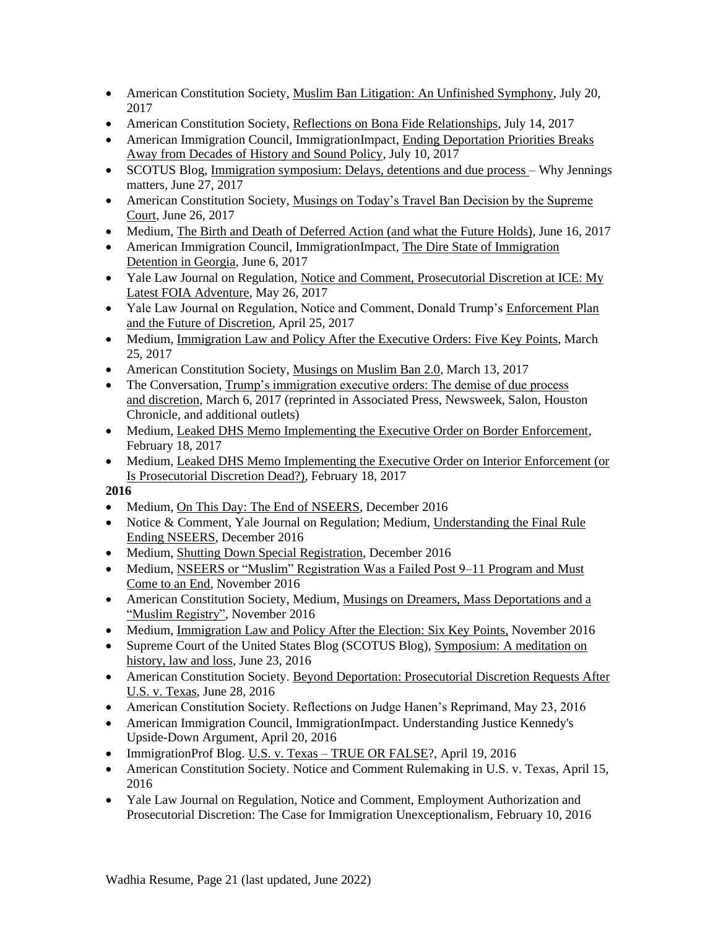- American Constitution Society, Muslim Ban Litigation: An Unfinished Symphony, July 20, 2017
- American Constitution Society, Reflections on Bona Fide Relationships, July 14, 2017
- American Immigration Council, ImmigrationImpact, Ending Deportation Priorities Breaks Away from Decades of History and Sound Policy, July 10, 2017
- SCOTUS Blog, Immigration symposium: Delays, detentions and due process Why Jennings matters, June 27, 2017
- American Constitution Society, Musings on Today's Travel Ban Decision by the Supreme Court, June 26, 2017
- Medium, The Birth and Death of Deferred Action (and what the Future Holds), June 16, 2017
- American Immigration Council, ImmigrationImpact, The Dire State of Immigration Detention in Georgia, June 6, 2017
- Yale Law Journal on Regulation, Notice and Comment, Prosecutorial Discretion at ICE: My Latest FOIA Adventure, May 26, 2017
- Yale Law Journal on Regulation, Notice and Comment, Donald Trump's Enforcement Plan and the Future of Discretion, April 25, 2017
- Medium, Immigration Law and Policy After the Executive Orders: Five Key Points, March 25, 2017
- American Constitution Society, Musings on Muslim Ban 2.0, March 13, 2017
- The Conversation, Trump's immigration executive orders: The demise of due process and discretion, March 6, 2017 (reprinted in Associated Press, Newsweek, Salon, Houston Chronicle, and additional outlets)
- Medium, Leaked DHS Memo Implementing the Executive Order on Border Enforcement, February 18, 2017
- Medium, Leaked DHS Memo Implementing the Executive Order on Interior Enforcement (or Is Prosecutorial Discretion Dead?), February 18, 2017

- Medium, On This Day: The End of NSEERS, December 2016
- Notice & Comment, Yale Journal on Regulation; Medium, Understanding the Final Rule Ending NSEERS, December 2016
- Medium, Shutting Down Special Registration, December 2016
- Medium, NSEERS or "Muslim" Registration Was a Failed Post 9–11 Program and Must Come to an End, November 2016
- American Constitution Society, Medium, Musings on Dreamers, Mass Deportations and a "Muslim Registry", November 2016
- Medium, Immigration Law and Policy After the Election: Six Key Points, November 2016
- Supreme Court of the United States Blog (SCOTUS Blog), Symposium: A meditation on history, law and loss, June 23, 2016
- American Constitution Society. Beyond Deportation: Prosecutorial Discretion Requests After U.S. v. Texas, June 28, 2016
- American Constitution Society. Reflections on Judge Hanen's Reprimand, May 23, 2016
- American Immigration Council, ImmigrationImpact. Understanding Justice Kennedy's Upside-Down Argument, April 20, 2016
- ImmigrationProf Blog. U.S. v. Texas TRUE OR FALSE?, April 19, 2016
- American Constitution Society. Notice and Comment Rulemaking in U.S. v. Texas, April 15, 2016
- Yale Law Journal on Regulation, Notice and Comment, Employment Authorization and Prosecutorial Discretion: The Case for Immigration Unexceptionalism, February 10, 2016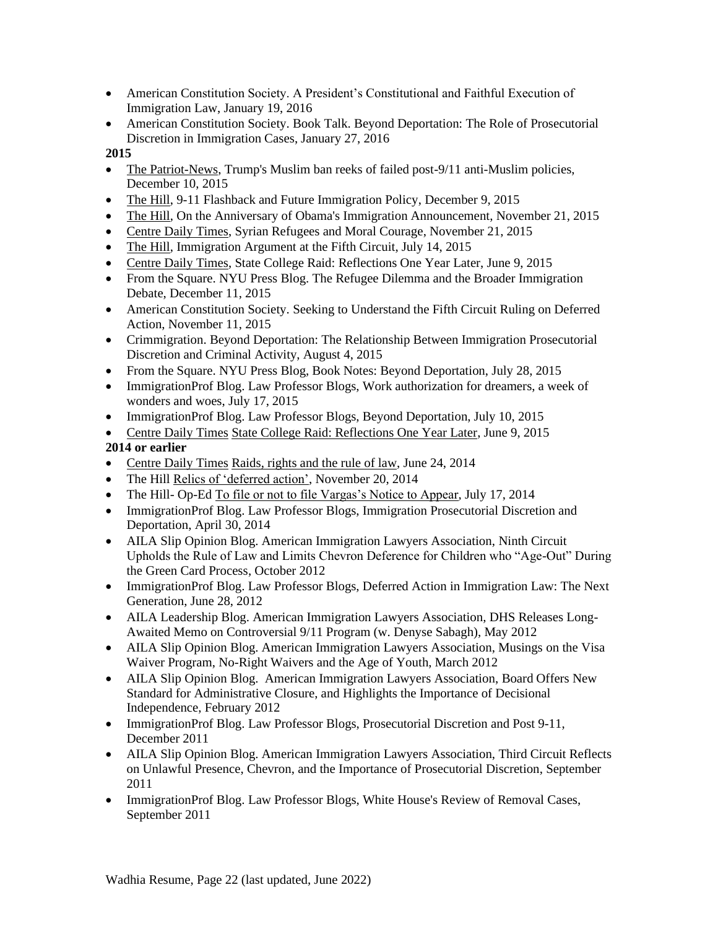- American Constitution Society. A President's Constitutional and Faithful Execution of Immigration Law, January 19, 2016
- American Constitution Society. Book Talk. Beyond Deportation: The Role of Prosecutorial Discretion in Immigration Cases, January 27, 2016

- The Patriot-News, Trump's Muslim ban reeks of failed post-9/11 anti-Muslim policies, December 10, 2015
- The Hill, 9-11 Flashback and Future Immigration Policy, December 9, 2015
- The Hill, On the Anniversary of Obama's Immigration Announcement, November 21, 2015
- Centre Daily Times, Syrian Refugees and Moral Courage, November 21, 2015
- The Hill, Immigration Argument at the Fifth Circuit, July 14, 2015
- Centre Daily Times, State College Raid: Reflections One Year Later, June 9, 2015
- From the Square. NYU Press Blog. The Refugee Dilemma and the Broader Immigration Debate, December 11, 2015
- American Constitution Society. Seeking to Understand the Fifth Circuit Ruling on Deferred Action, November 11, 2015
- Crimmigration. Beyond Deportation: The Relationship Between Immigration Prosecutorial Discretion and Criminal Activity, August 4, 2015
- From the Square. NYU Press Blog, Book Notes: Beyond Deportation, July 28, 2015
- ImmigrationProf Blog. Law Professor Blogs, Work authorization for dreamers, a week of wonders and woes, July 17, 2015
- ImmigrationProf Blog. Law Professor Blogs, Beyond Deportation, July 10, 2015
- Centre Daily Times State College Raid: Reflections One Year Later, June 9, 2015

# **2014 or earlier**

- Centre Daily Times Raids, rights and the rule of law, June 24, 2014
- The Hill Relics of 'deferred action', November 20, 2014
- The Hill- Op-Ed To file or not to file Vargas's Notice to Appear, July 17, 2014
- ImmigrationProf Blog. Law Professor Blogs, Immigration Prosecutorial Discretion and Deportation, April 30, 2014
- AILA Slip Opinion Blog. American Immigration Lawyers Association, Ninth Circuit Upholds the Rule of Law and Limits Chevron Deference for Children who "Age-Out" During the Green Card Process, October 2012
- ImmigrationProf Blog. Law Professor Blogs, Deferred Action in Immigration Law: The Next Generation, June 28, 2012
- AILA Leadership Blog. American Immigration Lawyers Association, DHS Releases Long-Awaited Memo on Controversial 9/11 Program (w. Denyse Sabagh), May 2012
- AILA Slip Opinion Blog. American Immigration Lawyers Association, Musings on the Visa Waiver Program, No-Right Waivers and the Age of Youth, March 2012
- AILA Slip Opinion Blog. American Immigration Lawyers Association, Board Offers New Standard for Administrative Closure, and Highlights the Importance of Decisional Independence, February 2012
- ImmigrationProf Blog. Law Professor Blogs, Prosecutorial Discretion and Post 9-11, December 2011
- AILA Slip Opinion Blog. American Immigration Lawyers Association, Third Circuit Reflects on Unlawful Presence, Chevron, and the Importance of Prosecutorial Discretion, September 2011
- ImmigrationProf Blog. Law Professor Blogs, White House's Review of Removal Cases, September 2011